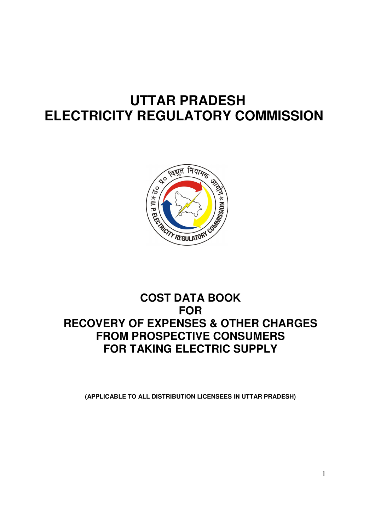# **UTTAR PRADESH ELECTRICITY REGULATORY COMMISSION**



# **COST DATA BOOK FOR RECOVERY OF EXPENSES & OTHER CHARGES FROM PROSPECTIVE CONSUMERS FOR TAKING ELECTRIC SUPPLY**

**(APPLICABLE TO ALL DISTRIBUTION LICENSEES IN UTTAR PRADESH)**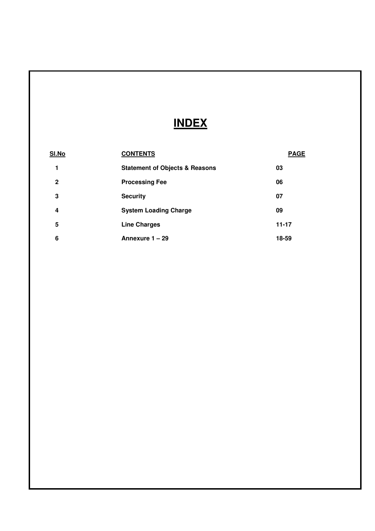# **INDEX**

| <u>SI.No</u> | <b>CONTENTS</b>                           | <b>PAGE</b> |
|--------------|-------------------------------------------|-------------|
|              | <b>Statement of Objects &amp; Reasons</b> | 03          |
| $\mathbf{2}$ | <b>Processing Fee</b>                     | 06          |
| 3            | <b>Security</b>                           | 07          |
| 4            | <b>System Loading Charge</b>              | 09          |
| 5            | <b>Line Charges</b>                       | $11 - 17$   |
| 6            | Annexure 1 - 29                           | 18-59       |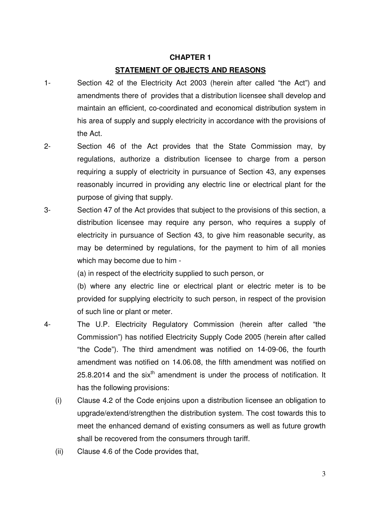## **CHAPTER 1 STATEMENT OF OBJECTS AND REASONS**

- 1- Section 42 of the Electricity Act 2003 (herein after called "the Act") and amendments there of provides that a distribution licensee shall develop and maintain an efficient, co-coordinated and economical distribution system in his area of supply and supply electricity in accordance with the provisions of the Act.
- 2- Section 46 of the Act provides that the State Commission may, by regulations, authorize a distribution licensee to charge from a person requiring a supply of electricity in pursuance of Section 43, any expenses reasonably incurred in providing any electric line or electrical plant for the purpose of giving that supply.
- 3- Section 47 of the Act provides that subject to the provisions of this section, a distribution licensee may require any person, who requires a supply of electricity in pursuance of Section 43, to give him reasonable security, as may be determined by regulations, for the payment to him of all monies which may become due to him -

(a) in respect of the electricity supplied to such person, or

(b) where any electric line or electrical plant or electric meter is to be provided for supplying electricity to such person, in respect of the provision of such line or plant or meter.

- 4- The U.P. Electricity Regulatory Commission (herein after called "the Commission") has notified Electricity Supply Code 2005 (herein after called "the Code"). The third amendment was notified on 14-09-06, the fourth amendment was notified on 14.06.08, the fifth amendment was notified on  $25.8.2014$  and the six<sup>th</sup> amendment is under the process of notification. It has the following provisions:
	- (i) Clause 4.2 of the Code enjoins upon a distribution licensee an obligation to upgrade/extend/strengthen the distribution system. The cost towards this to meet the enhanced demand of existing consumers as well as future growth shall be recovered from the consumers through tariff.
	- (ii) Clause 4.6 of the Code provides that,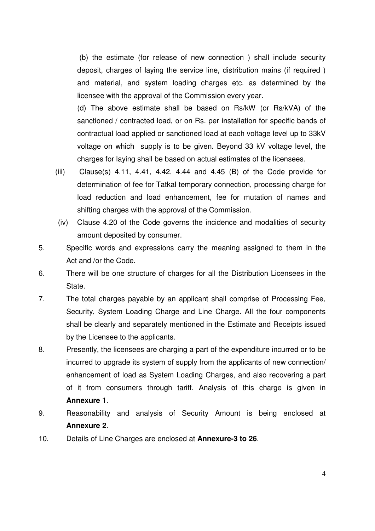(b) the estimate (for release of new connection ) shall include security deposit, charges of laying the service line, distribution mains (if required ) and material, and system loading charges etc. as determined by the licensee with the approval of the Commission every year.

(d) The above estimate shall be based on Rs/kW (or Rs/kVA) of the sanctioned / contracted load, or on Rs. per installation for specific bands of contractual load applied or sanctioned load at each voltage level up to 33kV voltage on which supply is to be given. Beyond 33 kV voltage level, the charges for laying shall be based on actual estimates of the licensees.

- (iii) Clause(s)  $4.11$ ,  $4.41$ ,  $4.42$ ,  $4.44$  and  $4.45$  (B) of the Code provide for determination of fee for Tatkal temporary connection, processing charge for load reduction and load enhancement, fee for mutation of names and shifting charges with the approval of the Commission.
- (iv) Clause 4.20 of the Code governs the incidence and modalities of security amount deposited by consumer.
- 5. Specific words and expressions carry the meaning assigned to them in the Act and /or the Code.
- 6. There will be one structure of charges for all the Distribution Licensees in the State.
- 7. The total charges payable by an applicant shall comprise of Processing Fee, Security, System Loading Charge and Line Charge. All the four components shall be clearly and separately mentioned in the Estimate and Receipts issued by the Licensee to the applicants.
- 8. Presently, the licensees are charging a part of the expenditure incurred or to be incurred to upgrade its system of supply from the applicants of new connection/ enhancement of load as System Loading Charges, and also recovering a part of it from consumers through tariff. Analysis of this charge is given in **Annexure 1**.
- 9. Reasonability and analysis of Security Amount is being enclosed at **Annexure 2**.
- 10. Details of Line Charges are enclosed at **Annexure-3 to 26**.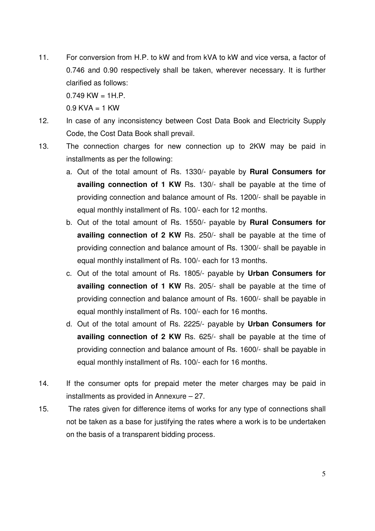11. For conversion from H.P. to kW and from kVA to kW and vice versa, a factor of 0.746 and 0.90 respectively shall be taken, wherever necessary. It is further clarified as follows:

 $0.749$  KW = 1H P

 $0.9$  KVA  $=$  1 KW

- 12. In case of any inconsistency between Cost Data Book and Electricity Supply Code, the Cost Data Book shall prevail.
- 13. The connection charges for new connection up to 2KW may be paid in installments as per the following:
	- a. Out of the total amount of Rs. 1330/- payable by **Rural Consumers for availing connection of 1 KW** Rs. 130/- shall be payable at the time of providing connection and balance amount of Rs. 1200/- shall be payable in equal monthly installment of Rs. 100/- each for 12 months.
	- b. Out of the total amount of Rs. 1550/- payable by **Rural Consumers for availing connection of 2 KW** Rs. 250/- shall be payable at the time of providing connection and balance amount of Rs. 1300/- shall be payable in equal monthly installment of Rs. 100/- each for 13 months.
	- c. Out of the total amount of Rs. 1805/- payable by **Urban Consumers for availing connection of 1 KW** Rs. 205/- shall be payable at the time of providing connection and balance amount of Rs. 1600/- shall be payable in equal monthly installment of Rs. 100/- each for 16 months.
	- d. Out of the total amount of Rs. 2225/- payable by **Urban Consumers for availing connection of 2 KW** Rs. 625/- shall be payable at the time of providing connection and balance amount of Rs. 1600/- shall be payable in equal monthly installment of Rs. 100/- each for 16 months.
- 14. If the consumer opts for prepaid meter the meter charges may be paid in installments as provided in Annexure – 27.
- 15. The rates given for difference items of works for any type of connections shall not be taken as a base for justifying the rates where a work is to be undertaken on the basis of a transparent bidding process.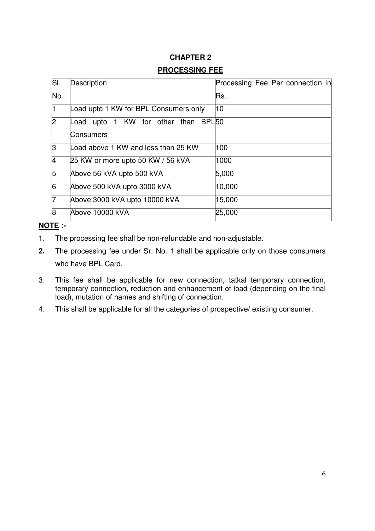## **CHAPTER 2 PROCESSING FEE**

| SI. | Description                                             | Processing Fee Per connection in |
|-----|---------------------------------------------------------|----------------------------------|
| No. |                                                         | Rs.                              |
|     | Load upto 1 KW for BPL Consumers only                   | 10                               |
| 2   | Load upto 1 KW for other than BPL50<br><b>Consumers</b> |                                  |
| ß   | Load above 1 KW and less than 25 KW                     | 100                              |
| 4   | 25 KW or more upto 50 KW / 56 kVA                       | 1000                             |
| 5   | Above 56 kVA upto 500 kVA                               | 5,000                            |
| 6   | Above 500 kVA upto 3000 kVA                             | 10,000                           |
| 7   | Above 3000 kVA upto 10000 kVA                           | 15,000                           |
| 8   | Above 10000 kVA                                         | 25,000                           |

## **NOTE :-**

- 1. The processing fee shall be non-refundable and non-adjustable.
- **2.** The processing fee under Sr. No. 1 shall be applicable only on those consumers who have BPL Card.
- 3. This fee shall be applicable for new connection, tatkal temporary connection, temporary connection, reduction and enhancement of load (depending on the final load), mutation of names and shifting of connection.
- 4. This shall be applicable for all the categories of prospective/ existing consumer.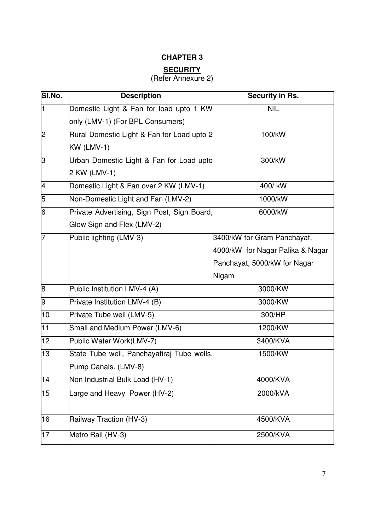## **CHAPTER 3**

# **SECURITY**

## (Refer Annexure 2)

| SI.No.          | <b>Description</b>                          | Security in Rs.                  |
|-----------------|---------------------------------------------|----------------------------------|
| 1               | Domestic Light & Fan for load upto 1 KW     | <b>NIL</b>                       |
|                 | only (LMV-1) (For BPL Consumers)            |                                  |
| $\overline{2}$  | Rural Domestic Light & Fan for Load upto 2  | 100/kW                           |
|                 | $KW(LMV-1)$                                 |                                  |
| ß               | Urban Domestic Light & Fan for Load upto    | 300/kW                           |
|                 | 2 KW (LMV-1)                                |                                  |
| $\overline{4}$  | Domestic Light & Fan over 2 KW (LMV-1)      | 400/kW                           |
| 5               | Non-Domestic Light and Fan (LMV-2)          | 1000/kW                          |
| 6               | Private Advertising, Sign Post, Sign Board, | 6000/kW                          |
|                 | Glow Sign and Flex (LMV-2)                  |                                  |
|                 | Public lighting (LMV-3)                     | 3400/kW for Gram Panchayat,      |
|                 |                                             | 4000/kW for Nagar Palika & Nagar |
|                 |                                             | Panchayat, 5000/kW for Nagar     |
|                 |                                             | Nigam                            |
| 8               | Public Institution LMV-4 (A)                | 3000/KW                          |
| 9               | Private Institution LMV-4 (B)               | 3000/KW                          |
| 10              | Private Tube well (LMV-5)                   | 300/HP                           |
| 11              | Small and Medium Power (LMV-6)              | 1200/KW                          |
| 12 <sub>2</sub> | Public Water Work(LMV-7)                    | 3400/KVA                         |
| 13              | State Tube well, Panchayatiraj Tube wells,  | 1500/KW                          |
|                 | Pump Canals. (LMV-8)                        |                                  |
| 14              | Non Industrial Bulk Load (HV-1)             | 4000/KVA                         |
| 15              | Large and Heavy Power (HV-2)                | 2000/kVA                         |
|                 |                                             |                                  |
| 16              | Railway Traction (HV-3)                     | 4500/KVA                         |
| 17              | Metro Rail (HV-3)                           | 2500/KVA                         |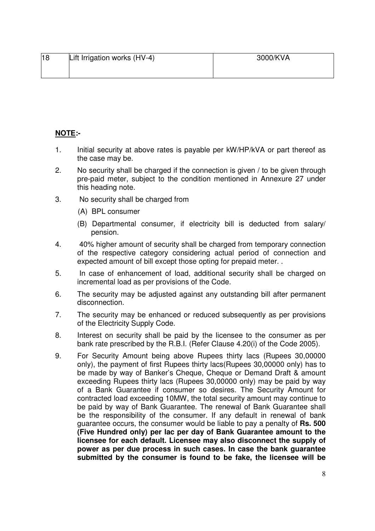| 18 | Lift Irrigation works (HV-4) | 3000/KVA |
|----|------------------------------|----------|
|    |                              |          |

## **NOTE:-**

- 1. Initial security at above rates is payable per kW/HP/kVA or part thereof as the case may be.
- 2. No security shall be charged if the connection is given / to be given through pre-paid meter, subject to the condition mentioned in Annexure 27 under this heading note.
- 3. No security shall be charged from
	- (A) BPL consumer
	- (B) Departmental consumer, if electricity bill is deducted from salary/ pension.
- 4. 40% higher amount of security shall be charged from temporary connection of the respective category considering actual period of connection and expected amount of bill except those opting for prepaid meter. .
- 5. In case of enhancement of load, additional security shall be charged on incremental load as per provisions of the Code.
- 6. The security may be adjusted against any outstanding bill after permanent disconnection.
- 7. The security may be enhanced or reduced subsequently as per provisions of the Electricity Supply Code.
- 8. Interest on security shall be paid by the licensee to the consumer as per bank rate prescribed by the R.B.I. (Refer Clause 4.20(i) of the Code 2005).
- 9. For Security Amount being above Rupees thirty lacs (Rupees 30,00000 only), the payment of first Rupees thirty lacs(Rupees 30,00000 only) has to be made by way of Banker's Cheque, Cheque or Demand Draft & amount exceeding Rupees thirty lacs (Rupees 30,00000 only) may be paid by way of a Bank Guarantee if consumer so desires. The Security Amount for contracted load exceeding 10MW, the total security amount may continue to be paid by way of Bank Guarantee. The renewal of Bank Guarantee shall be the responsibility of the consumer. If any default in renewal of bank guarantee occurs, the consumer would be liable to pay a penalty of **Rs. 500 (Five Hundred only) per lac per day of Bank Guarantee amount to the licensee for each default. Licensee may also disconnect the supply of power as per due process in such cases. In case the bank guarantee submitted by the consumer is found to be fake, the licensee will be**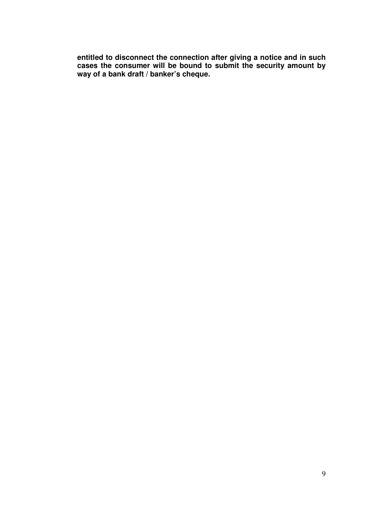**entitled to disconnect the connection after giving a notice and in such cases the consumer will be bound to submit the security amount by way of a bank draft / banker's cheque.**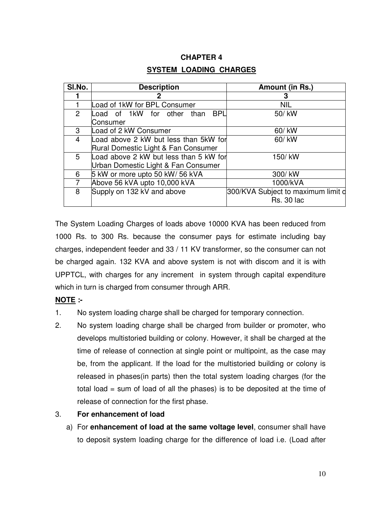## **CHAPTER 4**

## **SYSTEM LOADING CHARGES**

| SI.No.        | <b>Description</b>                       | Amount (in Rs.)                    |
|---------------|------------------------------------------|------------------------------------|
|               |                                          | 3                                  |
|               | Load of 1kW for BPL Consumer             | NIL                                |
| $\mathcal{P}$ | <b>BPL</b><br>Load of 1kW for other than | 50/ kW                             |
|               | Consumer                                 |                                    |
| 3             | Load of 2 kW Consumer                    | 60/ kW                             |
| 4             | Load above 2 kW but less than 5kW for    | 60/ kW                             |
|               | Rural Domestic Light & Fan Consumer      |                                    |
| 5             | Load above 2 kW but less than 5 kW for   | 150/kW                             |
|               | Urban Domestic Light & Fan Consumer      |                                    |
| 6             | 5 kW or more upto 50 kW/ 56 kVA          | 300/kW                             |
|               | Above 56 kVA upto 10,000 kVA             | 1000/kVA                           |
| 8             | Supply on 132 kV and above               | 300/KVA Subject to maximum limit d |
|               |                                          | <b>Rs. 30 lac</b>                  |

The System Loading Charges of loads above 10000 KVA has been reduced from 1000 Rs. to 300 Rs. because the consumer pays for estimate including bay charges, independent feeder and 33 / 11 KV transformer, so the consumer can not be charged again. 132 KVA and above system is not with discom and it is with UPPTCL, with charges for any increment in system through capital expenditure which in turn is charged from consumer through ARR.

## **NOTE :-**

- 1. No system loading charge shall be charged for temporary connection.
- 2. No system loading charge shall be charged from builder or promoter, who develops multistoried building or colony. However, it shall be charged at the time of release of connection at single point or multipoint, as the case may be, from the applicant. If the load for the multistoried building or colony is released in phases(in parts) then the total system loading charges (for the total load = sum of load of all the phases) is to be deposited at the time of release of connection for the first phase.
- 3. **For enhancement of load** 
	- a) For **enhancement of load at the same voltage level**, consumer shall have to deposit system loading charge for the difference of load i.e. (Load after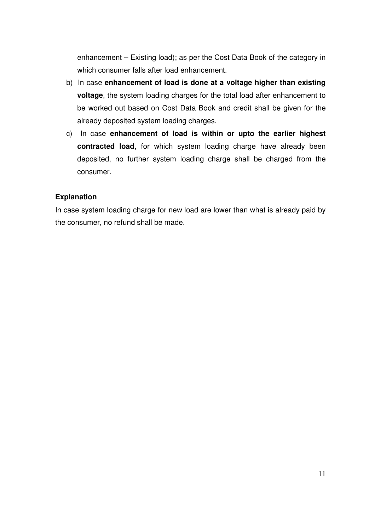enhancement – Existing load); as per the Cost Data Book of the category in which consumer falls after load enhancement.

- b) In case **enhancement of load is done at a voltage higher than existing voltage**, the system loading charges for the total load after enhancement to be worked out based on Cost Data Book and credit shall be given for the already deposited system loading charges.
- c) In case **enhancement of load is within or upto the earlier highest contracted load**, for which system loading charge have already been deposited, no further system loading charge shall be charged from the consumer.

## **Explanation**

In case system loading charge for new load are lower than what is already paid by the consumer, no refund shall be made.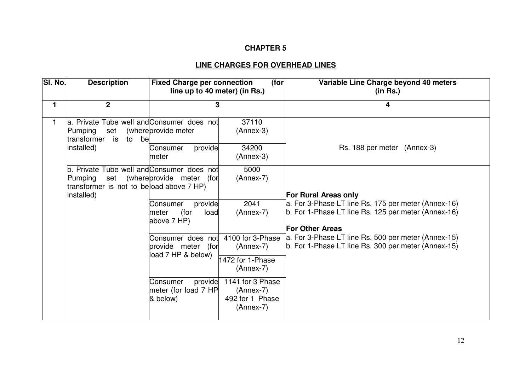## **CHAPTER 5**

# **LINE CHARGES FOR OVERHEAD LINES**

| SI. No. | <b>Description</b>                                                                                                        | <b>Fixed Charge per connection</b><br>line up to 40 meter) (in Rs.)                                                      | (for)                                                                                                                                   | Variable Line Charge beyond 40 meters<br>(in Rs.)                                                                                                                   |
|---------|---------------------------------------------------------------------------------------------------------------------------|--------------------------------------------------------------------------------------------------------------------------|-----------------------------------------------------------------------------------------------------------------------------------------|---------------------------------------------------------------------------------------------------------------------------------------------------------------------|
| 1       | $\overline{2}$                                                                                                            | 3                                                                                                                        |                                                                                                                                         | 4                                                                                                                                                                   |
|         | a. Private Tube well and Consumer does not<br>Pumping<br>set<br>transformer is<br>to<br>be<br>installed)                  | (whereprovide meter<br>provide<br>Consumer<br>meter                                                                      | 37110<br>$(Annex-3)$<br>34200<br>$(Annex-3)$                                                                                            | Rs. 188 per meter (Annex-3)                                                                                                                                         |
|         | Private Tube well and Consumer does not<br>b.<br>Pumping<br>set<br>transformer is not to beload above 7 HP)<br>installed) | (whereprovide meter (for<br>provide<br>Consumer<br>(for<br>meter<br>load<br>above 7 HP)                                  | 5000<br>$(Annex-7)$<br>2041<br>$(Annex-7)$                                                                                              | <b>For Rural Areas only</b><br>a. For 3-Phase LT line Rs. 175 per meter (Annex-16)<br>b. For 1-Phase LT line Rs. 125 per meter (Annex-16)<br><b>For Other Areas</b> |
|         |                                                                                                                           | Consumer does not<br>provide meter (for<br>load 7 HP & below)<br>provide<br>Consumer<br>meter (for load 7 HP<br>& below) | 4100 for 3-Phase<br>$(Annex-7)$<br>1472 for 1-Phase<br>$(Annex-7)$<br>1141 for 3 Phase<br>$(Annex-7)$<br>492 for 1 Phase<br>$(Annex-7)$ | a. For 3-Phase LT line Rs. 500 per meter (Annex-15)<br>b. For 1-Phase LT line Rs. 300 per meter (Annex-15)                                                          |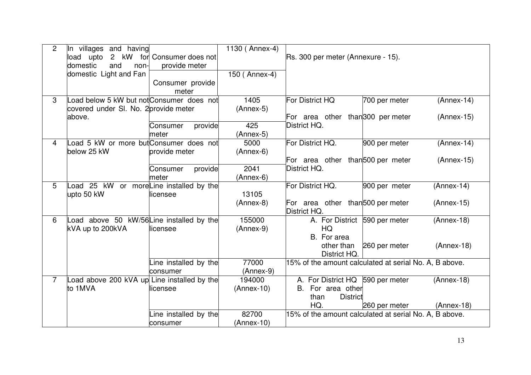| $\overline{2}$ | In villages and having<br>2 kW<br>load upto       | for Consumer does not | 1130 (Annex-4)      | Rs. 300 per meter (Annexure - 15).                                           |
|----------------|---------------------------------------------------|-----------------------|---------------------|------------------------------------------------------------------------------|
|                | and<br>domestic<br>non-<br>domestic Light and Fan | provide meter         | 150 (Annex-4)       |                                                                              |
|                |                                                   | Consumer provide      |                     |                                                                              |
|                |                                                   | meter                 |                     |                                                                              |
| 3              | oad below 5 kW but not Consumer does not          |                       | 1405                | For District HQ<br>700 per meter<br>$(Annex-14)$                             |
|                | covered under SI. No. 2 provide meter             |                       | $(Annex-5)$         |                                                                              |
|                | above.                                            |                       |                     | For area other than <sup>300</sup> per meter<br>$(Annex-15)$                 |
|                |                                                   | provide<br>Consumer   | 425                 | District HQ.                                                                 |
| 4              | oad 5 kW or more but Consumer does not            | meter                 | $(Annex-5)$<br>5000 | For District HQ.<br>900 per meter<br>$(Annex-14)$                            |
|                | below 25 kW                                       | provide meter         | $(Annex-6)$         |                                                                              |
|                |                                                   |                       |                     | For area other than 500 per meter<br>$(Annex-15)$                            |
|                |                                                   | provide<br>Consumer   | 2041                | District HQ.                                                                 |
|                |                                                   | meter                 | $(Annex-6)$         |                                                                              |
| 5              | oad 25 kW or moreLine installed by the            |                       |                     | For District HQ.<br>900 per meter<br>$(Annex-14)$                            |
|                | upto 50 kW                                        | licensee              | 13105               |                                                                              |
|                |                                                   |                       | $(Annex-8)$         | For area other than <sup>500</sup> per meter<br>$(Annex-15)$<br>District HQ. |
| 6              | oad above 50 kW/56Line installed by the           |                       | 155000              | A. For District 590 per meter<br>$(Annex-18)$                                |
|                | kVA up to 200kVA                                  | licensee              | $(Annex-9)$         | <b>HQ</b>                                                                    |
|                |                                                   |                       |                     | B. For area                                                                  |
|                |                                                   |                       |                     | other than<br>260 per meter<br>$(Annex-18)$                                  |
|                |                                                   | Line installed by the | 77000               | District HQ.<br>15% of the amount calculated at serial No. A, B above.       |
|                |                                                   | consumer              | $(Annex-9)$         |                                                                              |
| $\overline{7}$ | oad above 200 kVA up Line installed by the        |                       | 194000              | A. For District HQ 590 per meter<br>$(Annex-18)$                             |
|                | to 1MVA                                           | licensee              | $(Annex-10)$        | For area other<br>B.                                                         |
|                |                                                   |                       |                     | <b>District</b><br>than                                                      |
|                |                                                   |                       |                     | HQ.<br>$(Annex-18)$<br>260 per meter                                         |
|                |                                                   | Line installed by the | 82700               | 15% of the amount calculated at serial No. A, B above.                       |
|                |                                                   | consumer              | $(Annex-10)$        |                                                                              |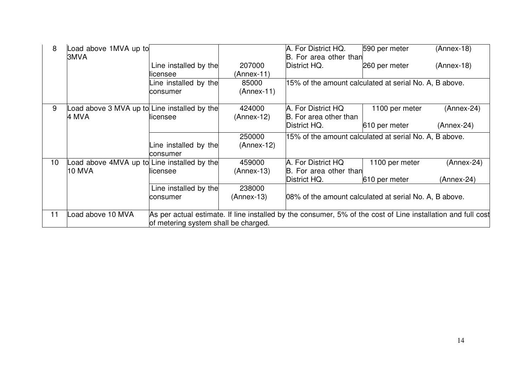| 8  | Load above 1MVA up to<br>3MVA               |                                      |                       | A. For District HQ.<br>B. For area other than                                                                | 590 per meter  | (Annex-18)   |
|----|---------------------------------------------|--------------------------------------|-----------------------|--------------------------------------------------------------------------------------------------------------|----------------|--------------|
|    |                                             | Line installed by the                | 207000                | District HQ.                                                                                                 | 260 per meter  | $(Annex-18)$ |
|    |                                             | licensee                             | $(Annex-11)$          | 15% of the amount calculated at serial No. A, B above.                                                       |                |              |
|    |                                             | Line installed by the<br>consumer    | 85000<br>$(Annex-11)$ |                                                                                                              |                |              |
| 9  | oad above 3 MVA up to Line installed by the |                                      | 424000                | A. For District HQ                                                                                           | 1100 per meter | $(Annex-24)$ |
|    | 4 MVA                                       | licensee                             | $(Annex-12)$          | B. For area other than                                                                                       |                |              |
|    |                                             |                                      |                       | District HQ.                                                                                                 | 610 per meter  | $(Annex-24)$ |
|    |                                             |                                      | 250000                | 15% of the amount calculated at serial No. A, B above.                                                       |                |              |
|    |                                             | Line installed by the                | $(Annex-12)$          |                                                                                                              |                |              |
|    |                                             | consumer                             |                       |                                                                                                              |                |              |
| 10 | Load above 4MVA up to Line installed by the |                                      | 459000                | A. For District HQ                                                                                           | 1100 per meter | $(Annex-24)$ |
|    | <b>10 MVA</b>                               | licensee                             | $(Annex-13)$          | B. For area other than                                                                                       |                |              |
|    |                                             |                                      |                       | District HQ.                                                                                                 | 610 per meter  | (Annex-24)   |
|    |                                             | Line installed by the                | 238000                |                                                                                                              |                |              |
|    |                                             | consumer                             | $(Annex-13)$          | 08% of the amount calculated at serial No. A, B above.                                                       |                |              |
|    |                                             |                                      |                       |                                                                                                              |                |              |
| 11 | oad above 10 MVA                            |                                      |                       | As per actual estimate. If line installed by the consumer, 5% of the cost of Line installation and full cost |                |              |
|    |                                             | of metering system shall be charged. |                       |                                                                                                              |                |              |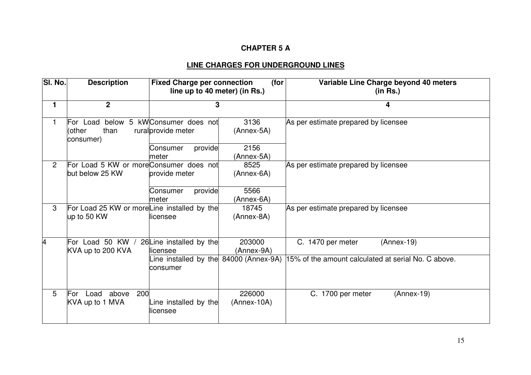## **CHAPTER 5 A**

# **LINE CHARGES FOR UNDERGROUND LINES**

| SI. No.        | <b>Description</b>                                         | <b>Fixed Charge per connection</b><br>line up to 40 meter) (in Rs.) | (for                    | Variable Line Charge beyond 40 meters<br>(in Rs.)   |
|----------------|------------------------------------------------------------|---------------------------------------------------------------------|-------------------------|-----------------------------------------------------|
| $\mathbf{1}$   | $\overline{2}$                                             | 3                                                                   |                         | 4                                                   |
| 1.             | For Load<br>than<br>(other<br>consumer)                    | below 5 kWConsumer does not<br>rural provide meter                  | 3136<br>(Annex-5A)      | As per estimate prepared by licensee                |
|                |                                                            | provide<br>Consumer<br>meter                                        | 2156<br>(Annex-5A)      |                                                     |
| $\overline{2}$ | For Load 5 KW or moreConsumer does not<br>but below 25 KW  | provide meter                                                       | 8525<br>(Annex-6A)      | As per estimate prepared by licensee                |
|                |                                                            | provide<br>Consumer<br>meter                                        | 5566<br>(Annex-6A)      |                                                     |
| 3              | For Load 25 KW or moreLine installed by the<br>up to 50 KW | llicensee                                                           | 18745<br>(Annex-8A)     | As per estimate prepared by licensee                |
| 4              | For Load 50 KW /<br>KVA up to 200 KVA                      | 26 Line installed by the<br>licensee                                | 203000<br>(Annex-9A)    | C. 1470 per meter<br>$(Annex-19)$                   |
|                |                                                            | Line installed by the 84000 (Annex-9A)<br>consumer                  |                         | 15% of the amount calculated at serial No. C above. |
| 5              | 200<br>For<br>Load<br>above<br>KVA up to 1 MVA             | Line installed by the<br>licensee                                   | 226000<br>$(Annex-10A)$ | C. 1700 per meter<br>$(Annex-19)$                   |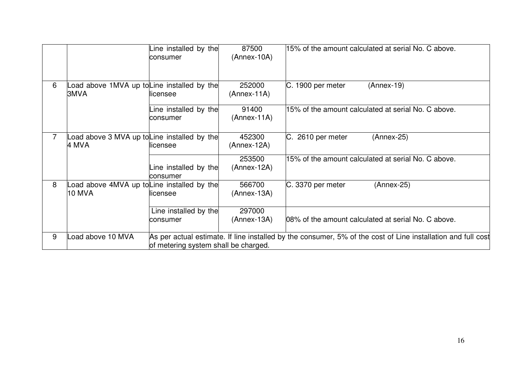|   |                                                      | Line installed by the<br>consumer    | 87500<br>$(Annex-10A)$  | 15% of the amount calculated at serial No. C above.                                                          |
|---|------------------------------------------------------|--------------------------------------|-------------------------|--------------------------------------------------------------------------------------------------------------|
| 6 | oad above 1MVA up toLine installed by the<br>3MVA    | licensee                             | 252000<br>$(Annex-11A)$ | C. 1900 per meter<br>$(Annex-19)$                                                                            |
|   |                                                      | Line installed by the<br>consumer    | 91400<br>$(Annex-11A)$  | 15% of the amount calculated at serial No. C above.                                                          |
|   | oad above 3 MVA up to Line installed by the<br>4 MVA | licensee                             | 452300<br>$(Annex-12A)$ | C. 2610 per meter<br>$(Annex-25)$                                                                            |
|   |                                                      | Line installed by the<br>consumer    | 253500<br>(Annex-12A)   | 15% of the amount calculated at serial No. C above.                                                          |
| 8 | oad above 4MVA up toLine installed by the<br>10 MVA  | llicensee                            | 566700<br>$(Annex-13A)$ | C. 3370 per meter<br>$(Annex-25)$                                                                            |
|   |                                                      | Line installed by the<br>consumer    | 297000<br>$(Annex-13A)$ | 08% of the amount calculated at serial No. C above.                                                          |
| 9 | oad above 10 MVA                                     | of metering system shall be charged. |                         | As per actual estimate. If line installed by the consumer, 5% of the cost of Line installation and full cost |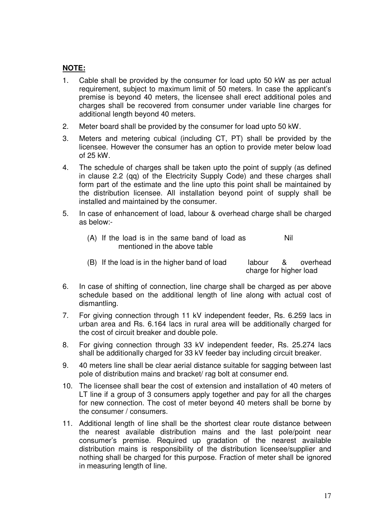## **NOTE:**

- 1. Cable shall be provided by the consumer for load upto 50 kW as per actual requirement, subject to maximum limit of 50 meters. In case the applicant's premise is beyond 40 meters, the licensee shall erect additional poles and charges shall be recovered from consumer under variable line charges for additional length beyond 40 meters.
- 2. Meter board shall be provided by the consumer for load upto 50 kW.
- 3. Meters and metering cubical (including CT, PT) shall be provided by the licensee. However the consumer has an option to provide meter below load of 25 kW.
- 4. The schedule of charges shall be taken upto the point of supply (as defined in clause 2.2 (qq) of the Electricity Supply Code) and these charges shall form part of the estimate and the line upto this point shall be maintained by the distribution licensee. All installation beyond point of supply shall be installed and maintained by the consumer.
- 5. In case of enhancement of load, labour & overhead charge shall be charged as below:-
	- (A) If the load is in the same band of load as mentioned in the above table Nil
	- (B) If the load is in the higher band of load labour & overhead charge for higher load
- 6. In case of shifting of connection, line charge shall be charged as per above schedule based on the additional length of line along with actual cost of dismantling.
- 7. For giving connection through 11 kV independent feeder, Rs. 6.259 lacs in urban area and Rs. 6.164 lacs in rural area will be additionally charged for the cost of circuit breaker and double pole.
- 8. For giving connection through 33 kV independent feeder, Rs. 25.274 lacs shall be additionally charged for 33 kV feeder bay including circuit breaker.
- 9. 40 meters line shall be clear aerial distance suitable for sagging between last pole of distribution mains and bracket/ rag bolt at consumer end.
- 10. The licensee shall bear the cost of extension and installation of 40 meters of LT line if a group of 3 consumers apply together and pay for all the charges for new connection. The cost of meter beyond 40 meters shall be borne by the consumer / consumers.
- 11. Additional length of line shall be the shortest clear route distance between the nearest available distribution mains and the last pole/point near consumer's premise. Required up gradation of the nearest available distribution mains is responsibility of the distribution licensee/supplier and nothing shall be charged for this purpose. Fraction of meter shall be ignored in measuring length of line.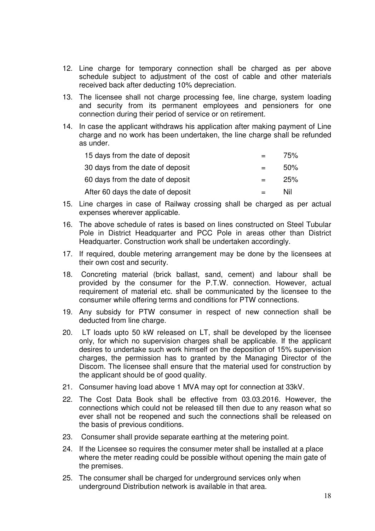- 12. Line charge for temporary connection shall be charged as per above schedule subject to adjustment of the cost of cable and other materials received back after deducting 10% depreciation.
- 13. The licensee shall not charge processing fee, line charge, system loading and security from its permanent employees and pensioners for one connection during their period of service or on retirement.
- 14. In case the applicant withdraws his application after making payment of Line charge and no work has been undertaken, the line charge shall be refunded as under.

| 15 days from the date of deposit  |     | 75%    |
|-----------------------------------|-----|--------|
| 30 days from the date of deposit  |     | $50\%$ |
| 60 days from the date of deposit  | $=$ | 25%    |
| After 60 days the date of deposit |     | Nil    |

- 15. Line charges in case of Railway crossing shall be charged as per actual expenses wherever applicable.
- 16. The above schedule of rates is based on lines constructed on Steel Tubular Pole in District Headquarter and PCC Pole in areas other than District Headquarter. Construction work shall be undertaken accordingly.
- 17. If required, double metering arrangement may be done by the licensees at their own cost and security.
- 18. Concreting material (brick ballast, sand, cement) and labour shall be provided by the consumer for the P.T.W. connection. However, actual requirement of material etc. shall be communicated by the licensee to the consumer while offering terms and conditions for PTW connections.
- 19. Any subsidy for PTW consumer in respect of new connection shall be deducted from line charge.
- 20. LT loads upto 50 kW released on LT, shall be developed by the licensee only, for which no supervision charges shall be applicable. If the applicant desires to undertake such work himself on the deposition of 15% supervision charges, the permission has to granted by the Managing Director of the Discom. The licensee shall ensure that the material used for construction by the applicant should be of good quality.
- 21. Consumer having load above 1 MVA may opt for connection at 33kV.
- 22. The Cost Data Book shall be effective from 03.03.2016. However, the connections which could not be released till then due to any reason what so ever shall not be reopened and such the connections shall be released on the basis of previous conditions.
- 23. Consumer shall provide separate earthing at the metering point.
- 24. If the Licensee so requires the consumer meter shall be installed at a place where the meter reading could be possible without opening the main gate of the premises.
- 25. The consumer shall be charged for underground services only when underground Distribution network is available in that area.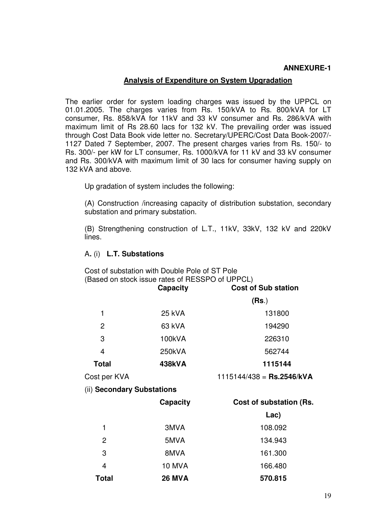## **Analysis of Expenditure on System Upgradation**

The earlier order for system loading charges was issued by the UPPCL on 01.01.2005. The charges varies from Rs. 150/kVA to Rs. 800/kVA for LT consumer, Rs. 858/kVA for 11kV and 33 kV consumer and Rs. 286/kVA with maximum limit of Rs 28.60 lacs for 132 kV. The prevailing order was issued through Cost Data Book vide letter no. Secretary/UPERC/Cost Data Book-2007/- 1127 Dated 7 September, 2007. The present charges varies from Rs. 150/- to Rs. 300/- per kW for LT consumer, Rs. 1000/kVA for 11 kV and 33 kV consumer and Rs. 300/kVA with maximum limit of 30 lacs for consumer having supply on 132 kVA and above.

Up gradation of system includes the following:

(A) Construction /increasing capacity of distribution substation, secondary substation and primary substation.

(B) Strengthening construction of L.T., 11kV, 33kV, 132 kV and 220kV lines.

## A**.** (i) **L.T. Substations**

Cost of substation with Double Pole of ST Pole (Based on stock issue rates of RESSPO of UPPCL)

|                            | Capacity        | <b>Cost of Sub station</b>  |
|----------------------------|-----------------|-----------------------------|
|                            |                 | (Rs.)                       |
| 1                          | 25 kVA          | 131800                      |
| $\overline{c}$             | 63 kVA          | 194290                      |
| 3                          | 100kVA          | 226310                      |
| $\overline{4}$             | 250kVA          | 562744                      |
| <b>Total</b>               | 438kVA          | 1115144                     |
| Cost per KVA               |                 | $1115144/438$ = Rs.2546/kVA |
| (ii) Secondary Substations |                 |                             |
|                            | <b>Capacity</b> | Cost of substation (Rs.     |
|                            |                 | Lac)                        |
| 1                          | 3MVA            | 108.092                     |
| $\overline{2}$             | 5MVA            | 134.943                     |
| 3                          | 8MVA            | 161.300                     |
| $\overline{4}$             | <b>10 MVA</b>   | 166.480                     |
| <b>Total</b>               | <b>26 MVA</b>   | 570.815                     |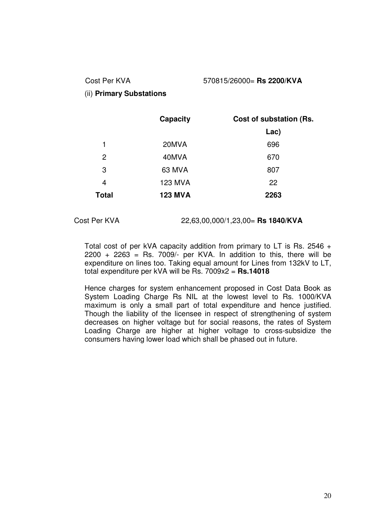## Cost Per KVA 570815/26000= **Rs 2200/KVA**

## (ii) **Primary Substations**

|              | Capacity       | Cost of substation (Rs. |
|--------------|----------------|-------------------------|
|              |                | Lac)                    |
| 1            | 20MVA          | 696                     |
| 2            | 40MVA          | 670                     |
| 3            | 63 MVA         | 807                     |
| 4            | <b>123 MVA</b> | 22                      |
| <b>Total</b> | <b>123 MVA</b> | 2263                    |

Cost Per KVA 22,63,00,000/1,23,00= **Rs 1840/KVA** 

Total cost of per kVA capacity addition from primary to LT is Rs. 2546 +  $2200 + 2263 =$  Rs. 7009/- per KVA. In addition to this, there will be expenditure on lines too. Taking equal amount for Lines from 132kV to LT, total expenditure per kVA will be Rs. 7009x2 = **Rs.14018** 

Hence charges for system enhancement proposed in Cost Data Book as System Loading Charge Rs NIL at the lowest level to Rs. 1000/KVA maximum is only a small part of total expenditure and hence justified. Though the liability of the licensee in respect of strengthening of system decreases on higher voltage but for social reasons, the rates of System Loading Charge are higher at higher voltage to cross-subsidize the consumers having lower load which shall be phased out in future.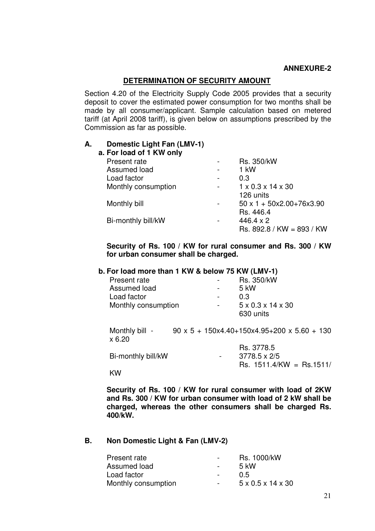### **DETERMINATION OF SECURITY AMOUNT**

Section 4.20 of the Electricity Supply Code 2005 provides that a security deposit to cover the estimated power consumption for two months shall be made by all consumer/applicant. Sample calculation based on metered tariff (at April 2008 tariff), is given below on assumptions prescribed by the Commission as far as possible.

### **A. Domestic Light Fan (LMV-1)**

| a. For load of 1 KW only |   |                                                 |
|--------------------------|---|-------------------------------------------------|
| Present rate             |   | <b>Rs. 350/kW</b>                               |
| Assumed load             | ۰ | 1 kW                                            |
| Load factor              |   | 0.3                                             |
| Monthly consumption      |   | $1 \times 0.3 \times 14 \times 30$              |
|                          |   | 126 units                                       |
| Monthly bill             |   | $50 \times 1 + 50 \times 2.00 + 76 \times 3.90$ |
|                          |   | Rs. 446.4                                       |
| Bi-monthly bill/kW       |   | $446.4 \times 2$                                |
|                          |   | $Rs. 892.8 / KW = 893 / KW$                     |
|                          |   |                                                 |

## **Security of Rs. 100 / KW for rural consumer and Rs. 300 / KW for urban consumer shall be charged.**

#### **b. For load more than 1 KW & below 75 KW (LMV-1)**

| Present rate        | $\overline{\phantom{0}}$ | Rs. 350/kW                         |
|---------------------|--------------------------|------------------------------------|
| Assumed load        | $\overline{\phantom{0}}$ | 5 kW                               |
| Load factor         | $\overline{\phantom{0}}$ | 0.3                                |
| Monthly consumption | $\overline{\phantom{a}}$ | $5 \times 0.3 \times 14 \times 30$ |
|                     |                          | 630 units                          |

Monthly bill - 90 x 5 + 150x4.40+150x4.95+200 x 5.60 + 130 x 6.20

 Rs. 3778.5 Bi-monthly bill/kW - 3778.5 x 2/5 Rs. 1511.4/KW = Rs.1511/

KW

**Security of Rs. 100 / KW for rural consumer with load of 2KW and Rs. 300 / KW for urban consumer with load of 2 kW shall be charged, whereas the other consumers shall be charged Rs. 400/kW.** 

#### **B. Non Domestic Light & Fan (LMV-2)**

| $\sim$ $\sim$    | Rs. 1000/kW                        |
|------------------|------------------------------------|
| $\sim$ 100 $\mu$ | $5 \mathrm{kW}$                    |
| $\sim$ $-$       | 0.5                                |
| $\sim$           | $5 \times 0.5 \times 14 \times 30$ |
|                  |                                    |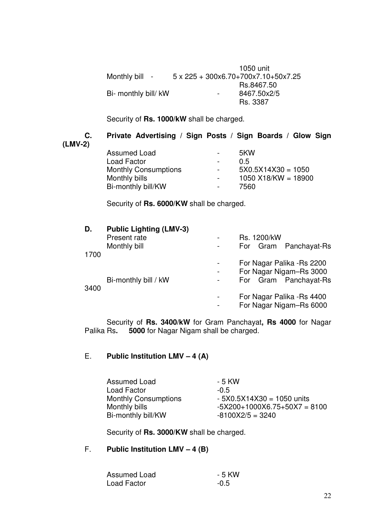|                      | 1050 unit                           |
|----------------------|-------------------------------------|
| Monthly bill -       | 5 x 225 + 300x6.70+700x7.10+50x7.25 |
|                      | Rs.8467.50                          |
| Bi- monthly bill/ kW | 8467.50x2/5<br>-                    |
|                      | Rs. 3387                            |

Security of **Rs. 1000/kW** shall be charged.

## **C. Private Advertising / Sign Posts / Sign Boards / Glow Sign (LMV-2)**

| Assumed Load                | -                        | 5KW                   |
|-----------------------------|--------------------------|-----------------------|
| Load Factor                 |                          | 0.5                   |
| <b>Monthly Consumptions</b> | $\sim$                   | $5X0.5X14X30 = 1050$  |
| Monthly bills               | $\overline{\phantom{a}}$ | $1050$ X18/KW = 18900 |
| Bi-monthly bill/KW          | $\sim$                   | 7560                  |
|                             |                          |                       |

Security of **Rs. 6000/KW** shall be charged.

| D.   | <b>Public Lighting (LMV-3)</b> |   |                            |
|------|--------------------------------|---|----------------------------|
|      | Present rate                   |   | Rs. 1200/kW                |
|      | Monthly bill                   | - | For Gram Panchayat-Rs      |
| 1700 |                                |   |                            |
|      |                                |   | For Nagar Palika - Rs 2200 |
|      |                                | ۰ | For Nagar Nigam-Rs 3000    |
|      | Bi-monthly bill / kW           |   | For Gram Panchayat-Rs      |
| 3400 |                                |   | For Nagar Palika - Rs 4400 |
|      |                                |   |                            |
|      |                                |   | For Nagar Nigam-Rs 6000    |

Security of **Rs. 3400/kW** for Gram Panchayat, **Rs 4000** for Nagar Palika Rs. 5000 for Nagar Nigam shall be charged. 5000 for Nagar Nigam shall be charged.

## E. **Public Institution LMV – 4 (A)**

| Assumed Load                | - 5 KW                       |
|-----------------------------|------------------------------|
| Load Factor                 | $-0.5$                       |
| <b>Monthly Consumptions</b> | $-5X0.5X14X30 = 1050$ units  |
| Monthly bills               | $-5X200+1000X6.75+50X7=8100$ |
| Bi-monthly bill/KW          | $-8100X2/5 = 3240$           |

Security of **Rs. 3000/KW** shall be charged.

## F. **Public Institution LMV – 4 (B)**

| Assumed Load       | - 5 KW |
|--------------------|--------|
| <b>Load Factor</b> | $-0.5$ |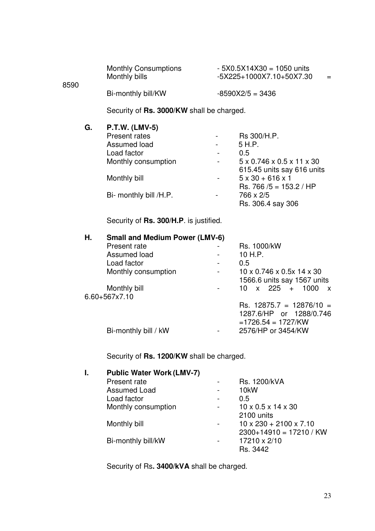|      | <b>Monthly Consumptions</b> | $-5X0.5X14X30 = 1050$ units |     |
|------|-----------------------------|-----------------------------|-----|
| 8590 | Monthly bills               | -5X225+1000X7.10+50X7.30    | $=$ |
|      | Bi-monthly bill/KW          | $-8590X2/5 = 3436$          |     |

Security of **Rs. 3000/KW** shall be charged.

8590

| G. | <b>P.T.W. (LMV-5)</b>  |   |                              |
|----|------------------------|---|------------------------------|
|    | Present rates          |   | Rs 300/H.P.                  |
|    | Assumed load           |   | 5 H.P.                       |
|    | Load factor            |   | 0.5                          |
|    | Monthly consumption    | ۰ | 5 x 0.746 x 0.5 x 11 x 30    |
|    |                        |   | 615.45 units say 616 units   |
|    | Monthly bill           |   | $5 \times 30 + 616 \times 1$ |
|    |                        |   | Rs. 766 /5 = $153.2$ / HP    |
|    | Bi- monthly bill /H.P. |   | 766 x 2/5                    |
|    |                        |   | Rs. 306.4 say 306            |

Security of **Rs. 300/H.P**. is justified.

| Η. | <b>Small and Medium Power (LMV-6)</b> |  |                                              |
|----|---------------------------------------|--|----------------------------------------------|
|    | Present rate                          |  | Rs. 1000/kW                                  |
|    | Assumed load                          |  | 10 H.P.                                      |
|    | Load factor                           |  | 0.5                                          |
|    | Monthly consumption                   |  | $10 \times 0.746 \times 0.5x$ 14 $\times$ 30 |
|    |                                       |  | 1566.6 units say 1567 units                  |
|    | Monthly bill                          |  | 10 $\times$ 225 + 1000<br>$\mathbf{x}$       |
|    | 6.60+567x7.10                         |  |                                              |
|    |                                       |  | $\text{Rs.}$ 12875.7 = 12876/10 =            |
|    |                                       |  | 1287.6/HP or 1288/0.746                      |
|    |                                       |  | $=1726.54 = 1727/KW$                         |
|    | Bi-monthly bill / kW                  |  | 2576/HP or 3454/KW                           |
|    |                                       |  |                                              |

Security of **Rs. 1200/KW** shall be charged.

| I. | <b>Public Water Work (LMV-7)</b> |   |                                     |
|----|----------------------------------|---|-------------------------------------|
|    | Present rate                     |   | Rs. 1200/kVA                        |
|    | <b>Assumed Load</b>              | ۰ | 10 <sub>k</sub> W                   |
|    | Load factor                      | - | 0.5                                 |
|    | Monthly consumption              |   | $10 \times 0.5 \times 14 \times 30$ |
|    |                                  |   | 2100 units                          |
|    | Monthly bill                     |   | $10 \times 230 + 2100 \times 7.10$  |
|    |                                  |   | $2300+14910 = 17210 / KW$           |
|    | Bi-monthly bill/kW               |   | 17210 x 2/10                        |
|    |                                  |   | Rs. 3442                            |
|    |                                  |   |                                     |

Security of Rs**. 3400/kVA** shall be charged.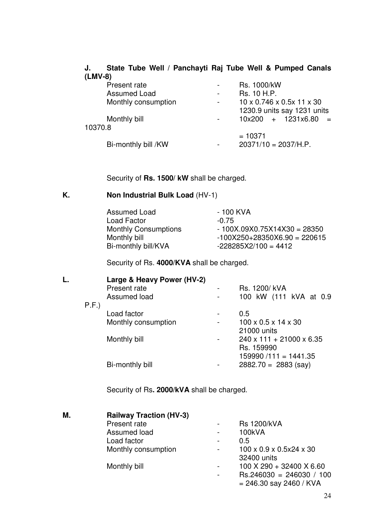## **J. State Tube Well / Panchayti Raj Tube Well & Pumped Canals (LMV-8)**

|         | Present rate        | $\overline{\phantom{a}}$ | Rs. 1000/kW                 |
|---------|---------------------|--------------------------|-----------------------------|
|         | <b>Assumed Load</b> | $\overline{\phantom{a}}$ | Rs. 10 H.P.                 |
|         | Monthly consumption | $\blacksquare$           | 10 x 0.746 x 0.5x 11 x 30   |
|         |                     |                          | 1230.9 units say 1231 units |
|         | Monthly bill        |                          | $10x200 + 1231x6.80 =$      |
| 10370.8 |                     |                          |                             |
|         |                     |                          | $= 10371$                   |
|         | Bi-monthly bill /KW | ٠                        | $20371/10 = 2037/H.P.$      |

Security of **Rs. 1500/ kW** shall be charged.

## **K. Non Industrial Bulk Load** (HV-1)

| - 100 KVA                      |
|--------------------------------|
| $-0.75$                        |
| $-100X.09X0.75X14X30 = 28350$  |
| $-100X250+28350X6.90 = 220615$ |
| $-228285X2/100 = 4412$         |
|                                |

Security of Rs. **4000/KVA** shall be charged.

| L. |      | Large & Heavy Power (HV-2) |  |                                      |  |  |  |
|----|------|----------------------------|--|--------------------------------------|--|--|--|
|    |      | Present rate               |  | Rs. 1200/kVA                         |  |  |  |
|    |      | Assumed load               |  | 100 kW (111 kVA at 0.9               |  |  |  |
|    | P.F. |                            |  |                                      |  |  |  |
|    |      | Load factor                |  | 0.5                                  |  |  |  |
|    |      | Monthly consumption        |  | $100 \times 0.5 \times 14 \times 30$ |  |  |  |
|    |      |                            |  | 21000 units                          |  |  |  |
|    |      | Monthly bill               |  | $240 \times 111 + 21000 \times 6.35$ |  |  |  |
|    |      |                            |  | Rs. 159990                           |  |  |  |
|    |      |                            |  | $159990/111 = 1441.35$               |  |  |  |
|    |      | Bi-monthly bill            |  | $2882.70 = 2883$ (say)               |  |  |  |
|    |      |                            |  |                                      |  |  |  |

Security of Rs**. 2000/kVA** shall be charged.

| М. | <b>Railway Traction (HV-3)</b> |   |                                                 |
|----|--------------------------------|---|-------------------------------------------------|
|    | Present rate                   |   | <b>Rs 1200/kVA</b>                              |
|    | Assumed load                   |   | 100kVA                                          |
|    | Load factor                    |   | 0.5                                             |
|    | Monthly consumption            |   | $100 \times 0.9 \times 0.5 \times 24 \times 30$ |
|    |                                |   | 32400 units                                     |
|    | Monthly bill                   | ۰ | 100 X 290 + 32400 X 6.60                        |
|    |                                |   | $\text{Rs.}246030 = 246030 / 100$               |
|    |                                |   | $= 246.30$ say 2460 / KVA                       |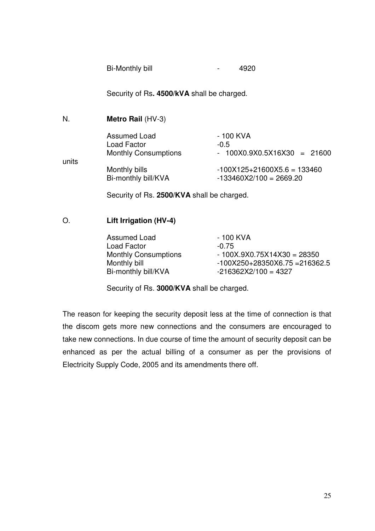| Bi-Monthly bill |  | 4920 |
|-----------------|--|------|
|-----------------|--|------|

Security of Rs**. 4500/kVA** shall be charged.

| N.    | Metro Rail (HV-3)                                                                                                                                                                                                                                                                                                                  |                               |
|-------|------------------------------------------------------------------------------------------------------------------------------------------------------------------------------------------------------------------------------------------------------------------------------------------------------------------------------------|-------------------------------|
|       | <b>Assumed Load</b>                                                                                                                                                                                                                                                                                                                | - 100 KVA                     |
|       | Load Factor                                                                                                                                                                                                                                                                                                                        | $-0.5$                        |
|       | <b>Monthly Consumptions</b>                                                                                                                                                                                                                                                                                                        | $-100X0.9X0.5X16X30 = 21600$  |
| units |                                                                                                                                                                                                                                                                                                                                    |                               |
|       | Monthly bills                                                                                                                                                                                                                                                                                                                      | $-100X125+21600X5.6 = 133460$ |
|       | Bi-monthly bill/KVA                                                                                                                                                                                                                                                                                                                | $-133460X2/100 = 2669.20$     |
|       | $\mathbf{r}$ $\mathbf{r}$ $\mathbf{r}$ $\mathbf{r}$ $\mathbf{r}$ $\mathbf{r}$ $\mathbf{r}$ $\mathbf{r}$ $\mathbf{r}$ $\mathbf{r}$ $\mathbf{r}$ $\mathbf{r}$ $\mathbf{r}$ $\mathbf{r}$ $\mathbf{r}$ $\mathbf{r}$ $\mathbf{r}$ $\mathbf{r}$ $\mathbf{r}$ $\mathbf{r}$ $\mathbf{r}$ $\mathbf{r}$ $\mathbf{r}$ $\mathbf{r}$ $\mathbf{$ |                               |

Security of Rs. **2500/KVA** shall be charged.

## O. **Lift Irrigation (HV-4)**

Assumed Load 100 KVA Load Factor -0.75<br>Monthly Consumptions - 100

 $-100X.9X0.75X14X30 = 28350$ Monthly bill -100X250+28350X6.75 = 216362.5  $Bi$ -monthly bill/KVA  $-216362X2/100 = 4327$ 

Security of Rs. **3000/KVA** shall be charged.

The reason for keeping the security deposit less at the time of connection is that the discom gets more new connections and the consumers are encouraged to take new connections. In due course of time the amount of security deposit can be enhanced as per the actual billing of a consumer as per the provisions of Electricity Supply Code, 2005 and its amendments there off.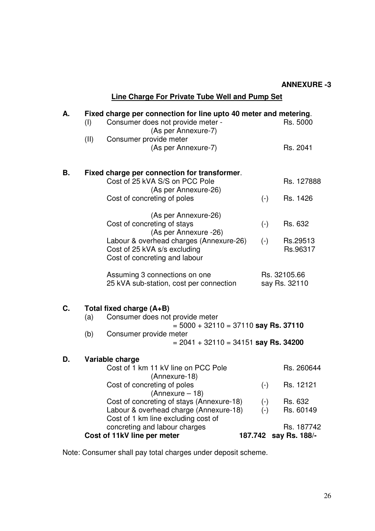|    |      | <b>Line Charge For Private Tube Well and Pump Set</b>                                                                      |  |                           |                                     |  |
|----|------|----------------------------------------------------------------------------------------------------------------------------|--|---------------------------|-------------------------------------|--|
| А. | (I)  | Fixed charge per connection for line upto 40 meter and metering.<br>Rs. 5000                                               |  |                           |                                     |  |
|    | (II) | Consumer provide meter<br>(As per Annexure-7)                                                                              |  |                           | Rs. 2041                            |  |
| В. |      | Fixed charge per connection for transformer.                                                                               |  |                           |                                     |  |
|    |      | Cost of 25 kVA S/S on PCC Pole<br>(As per Annexure-26)                                                                     |  |                           | Rs. 127888                          |  |
|    |      | Cost of concreting of poles                                                                                                |  | $(-)$                     | Rs. 1426                            |  |
|    |      | (As per Annexure-26)<br>Cost of concreting of stays                                                                        |  |                           | Rs. 632                             |  |
|    |      | (As per Annexure -26)                                                                                                      |  | $(-)$                     |                                     |  |
|    |      | Labour & overhead charges (Annexure-26)<br>Cost of 25 kVA s/s excluding<br>Cost of concreting and labour                   |  | $(-)$                     | Rs.29513<br>Rs.96317                |  |
|    |      | Assuming 3 connections on one<br>25 kVA sub-station, cost per connection                                                   |  |                           | Rs. 32105.66<br>say Rs. 32110       |  |
| C. |      | Total fixed charge (A+B)                                                                                                   |  |                           |                                     |  |
|    | (a)  | Consumer does not provide meter<br>$= 5000 + 32110 = 37110$ say Rs. 37110<br>(b)<br>Consumer provide meter                 |  |                           |                                     |  |
|    |      |                                                                                                                            |  |                           |                                     |  |
|    |      | $= 2041 + 32110 = 34151$ say Rs. 34200                                                                                     |  |                           |                                     |  |
| D. |      | Variable charge                                                                                                            |  |                           |                                     |  |
|    |      | Cost of 1 km 11 kV line on PCC Pole<br>(Annexure-18)                                                                       |  |                           | Rs. 260644                          |  |
|    |      | Cost of concreting of poles<br>$(Annexure - 18)$                                                                           |  | $(\textnormal{-})$        | Rs. 12121                           |  |
|    |      | Cost of concreting of stays (Annexure-18)<br>Labour & overhead charge (Annexure-18)<br>Cost of 1 km line excluding cost of |  | $(\cdot)$<br>$(\text{-})$ | Rs. 632<br>Rs. 60149                |  |
|    |      | concreting and labour charges<br>Cost of 11kV line per meter                                                               |  |                           | Rs. 187742<br>187.742 say Rs. 188/- |  |

Note: Consumer shall pay total charges under deposit scheme.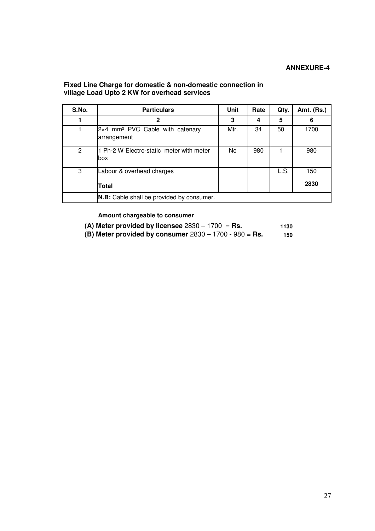## **Fixed Line Charge for domestic & non-domestic connection in village Load Upto 2 KW for overhead services**

| S.No.          | <b>Particulars</b>                                                | Unit | Rate | Qty. | Amt. (Rs.) |
|----------------|-------------------------------------------------------------------|------|------|------|------------|
|                | $\mathbf 2$                                                       | 3    | 4    | 5    | 6          |
|                | $2\times4$ mm <sup>2</sup> PVC Cable with catenary<br>arrangement | Mtr. | 34   | 50   | 1700       |
| $\overline{2}$ | 1 Ph-2 W Electro-static meter with meter<br>lbox                  | No.  | 980  |      | 980        |
| 3              | Labour & overhead charges                                         |      |      | L.S. | 150        |
|                | Total                                                             |      |      |      | 2830       |
|                | <b>N.B:</b> Cable shall be provided by consumer.                  |      |      |      |            |

**Amount chargeable to consumer**

|               | (A) Meter provided by licensee $2830 - 1700 =$ Rs. | 1130 |
|---------------|----------------------------------------------------|------|
| $\sim$ $\sim$ | $\overline{\phantom{a}}$                           |      |

**(B) Meter provided by consumer** 2830 – 1700 - 980 = **Rs. 150**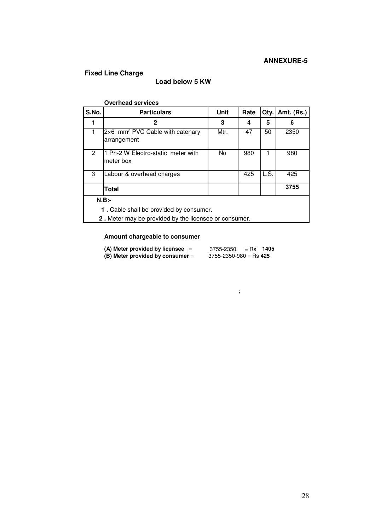## **Fixed Line Charge**

## **Load below 5 KW**

|                                         | <b>Overhead services</b>                                     |      |      |      |                   |
|-----------------------------------------|--------------------------------------------------------------|------|------|------|-------------------|
| S.No.                                   | <b>Particulars</b>                                           | Unit | Rate | Qty. | <b>Amt. (Rs.)</b> |
| 1                                       | 2                                                            | 3    | 4    | 5    | 6                 |
|                                         | 2×6 mm <sup>2</sup> PVC Cable with catenary<br>arrangement   | Mtr. | 47   | 50   | 2350              |
| $\overline{2}$                          | 1 Ph-2 W Electro-static meter with<br>meter box              | No.  | 980  |      | 980               |
| 3                                       | Labour & overhead charges                                    |      | 425  | L.S. | 425               |
|                                         | Total                                                        |      |      |      | 3755              |
| $N.B:-$                                 |                                                              |      |      |      |                   |
| 1. Cable shall be provided by consumer. |                                                              |      |      |      |                   |
|                                         | <b>2.</b> Meter may be provided by the licensee or consumer. |      |      |      |                   |

## **Amount chargeable to consumer**

| (A) Meter provided by licensee   | 3755-2350<br>1405<br>$=$ Rs  |  |
|----------------------------------|------------------------------|--|
| (B) Meter provided by consumer = | $3755 - 2350 - 980 =$ Rs 425 |  |

 $\mathbb{R}$  ;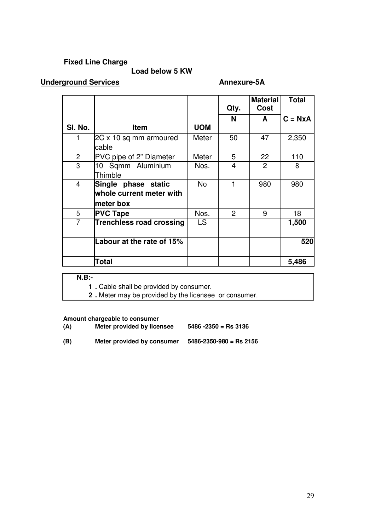## **Fixed Line Charge**

## **Load below 5 KW**

## **Underground Services Annexure-5A**

|                |                                                              |            | Qty.                    | <b>Material</b><br>Cost | <b>Total</b> |
|----------------|--------------------------------------------------------------|------------|-------------------------|-------------------------|--------------|
| SI. No.        | <b>Item</b>                                                  | <b>UOM</b> | N                       | A                       | $C = NxA$    |
|                | 2C x 10 sq mm armoured<br>cable                              | Meter      | 50                      | 47                      | 2,350        |
| $\overline{2}$ | PVC pipe of 2" Diameter                                      | Meter      | 5                       | 22                      | 110          |
| 3              | 10 Sqmm Aluminium<br>Thimble                                 | Nos.       | $\overline{\mathbf{4}}$ | $\overline{2}$          | 8            |
| $\overline{4}$ | Single phase static<br>whole current meter with<br>meter box | <b>No</b>  | 1                       | 980                     | 980          |
| 5              | <b>PVC Tape</b>                                              | Nos.       | 2                       | 9                       | 18           |
| $\overline{7}$ | Trenchless road crossing                                     | <b>LS</b>  |                         |                         | 1,500        |
|                | Labour at the rate of 15%                                    |            |                         |                         | 520          |
|                | Total                                                        |            |                         |                         | 5,486        |

**N.B:-** 

**1 .** Cable shall be provided by consumer.

**2 .** Meter may be provided by the licensee or consumer.

**Amount chargeable to consumer**

- **(A) Meter provided by licensee 5486 -2350 = Rs 3136**
- **(B) Meter provided by consumer 5486-2350-980 = Rs 2156**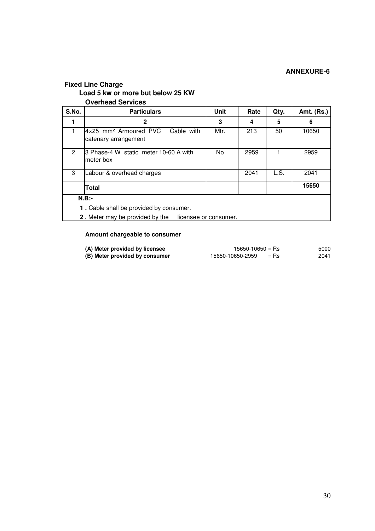## **Fixed Line Charge**

## **Load 5 kw or more but below 25 KW**

**Overhead Services** 

| S.No.                                          | <b>Particulars</b>                                                             | <b>Unit</b> | Rate | Qty. | <b>Amt. (Rs.)</b> |  |  |  |
|------------------------------------------------|--------------------------------------------------------------------------------|-------------|------|------|-------------------|--|--|--|
|                                                | $\mathbf{2}$                                                                   | 3           | 4    | 5    | 6                 |  |  |  |
|                                                | $4\times25$ mm <sup>2</sup> Armoured PVC<br>Cable with<br>catenary arrangement | Mtr.        | 213  | 50   | 10650             |  |  |  |
| $\mathfrak{p}$                                 | I3 Phase-4 W static meter 10-60 A with<br>meter box                            | No.         | 2959 |      | 2959              |  |  |  |
| 3                                              | Labour & overhead charges                                                      |             | 2041 | L.S. | 2041              |  |  |  |
|                                                | Total                                                                          |             |      |      | 15650             |  |  |  |
| $N.B$ :-                                       |                                                                                |             |      |      |                   |  |  |  |
| <b>1.</b> Cable shall be provided by consumer. |                                                                                |             |      |      |                   |  |  |  |
|                                                | 2. Meter may be provided by the<br>licensee or consumer.                       |             |      |      |                   |  |  |  |

## **Amount chargeable to consumer**

| (A) Meter provided by licensee | $15650 - 10650 =$ Rs       | 5000 |
|--------------------------------|----------------------------|------|
| (B) Meter provided by consumer | 15650-10650-2959<br>$=$ Rs | 2041 |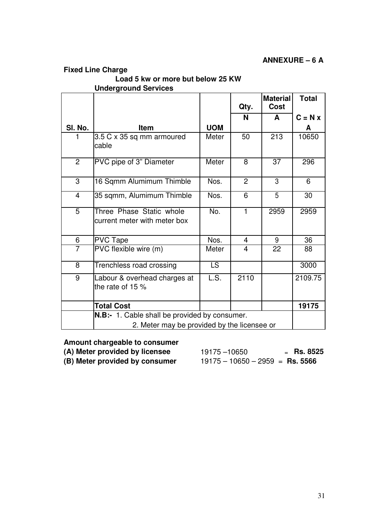## **ANNEXURE – 6 A**

## **Fixed Line Charge**

## **Load 5 kw or more but below 25 KW**

**Underground Services** 

|                |                                                                                                     |            | Qty.           | <b>Material</b><br><b>Cost</b> | <b>Total</b> |
|----------------|-----------------------------------------------------------------------------------------------------|------------|----------------|--------------------------------|--------------|
|                |                                                                                                     |            | N              | A                              | $C = N x$    |
| SI. No.        | <b>Item</b>                                                                                         | <b>UOM</b> |                |                                | A            |
|                | 3.5 C x 35 sq mm armoured<br>cable                                                                  | Meter      | 50             | 213                            | 10650        |
| $\overline{2}$ | PVC pipe of 3" Diameter                                                                             | Meter      | 8              | 37                             | 296          |
| 3              | 16 Sqmm Alumimum Thimble                                                                            | Nos.       | $\overline{2}$ | 3                              | 6            |
| $\overline{4}$ | 35 sqmm, Alumimum Thimble                                                                           | Nos.       | 6              | 5                              | 30           |
| $\overline{5}$ | Three Phase Static whole<br>current meter with meter box                                            | No.        | $\mathbf{1}$   | 2959                           | 2959         |
| 6              | <b>PVC Tape</b>                                                                                     | Nos.       | 4              | 9                              | 36           |
| $\overline{7}$ | PVC flexible wire (m)                                                                               | Meter      | 4              | 22                             | 88           |
| 8              | Trenchless road crossing                                                                            | LS         |                |                                | 3000         |
| 9              | Labour & overhead charges at<br>the rate of 15 %                                                    | LS.        | 2110           |                                | 2109.75      |
|                | <b>Total Cost</b>                                                                                   |            |                |                                | 19175        |
|                | <b>N.B:-</b> 1. Cable shall be provided by consumer.<br>2. Meter may be provided by the licensee or |            |                |                                |              |

## **Amount chargeable to consumer**

**(B) Meter provided by consumer** 19175 – 10650 – 2959 = **Rs. 5566** 

**(A) Meter provided by licensee**  $19175 - 10650$  = **Rs. 8525**<br>**(B) Meter provided by consumer**  $19175 - 10650 - 2959$  = **Rs. 5566**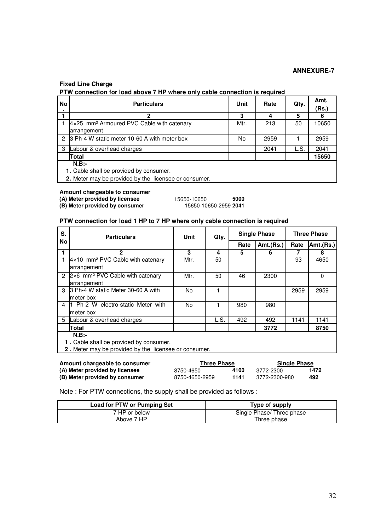#### **Fixed Line Charge**

**PTW connection for load above 7 HP where only cable connection is required**

| No | <b>Particulars</b>                                    | <b>Unit</b> | Rate | Qty. | Amt.<br>(Rs.) |
|----|-------------------------------------------------------|-------------|------|------|---------------|
|    | 2                                                     | 3           |      | 5    |               |
|    | 4x25 mm <sup>2</sup> Armoured PVC Cable with catenary | Mtr.        | 213  | 50   | 10650         |
|    | arrangement                                           |             |      |      |               |
|    | 2 3 Ph-4 W static meter 10-60 A with meter box        | No.         | 2959 |      | 2959          |
| 3  | Labour & overhead charges                             |             | 2041 | L.S. | 2041          |
|    | Total                                                 |             |      |      | 15650         |
|    | $N.B$ :-<br>1. Cable shall be provided by consumer.   |             |      |      |               |

**2.** Meter may be provided by the licensee or consumer.

**Amount chargeable to consumer** 

 $(B)$  Meter provided by consumer

**(A) Meter provided by licensee** 15650-10650 **5000**

#### **PTW connection for load 1 HP to 7 HP where only cable connection is required**

| S.        | <b>Particulars</b>                                     | Unit | Qty. | <b>Single Phase</b> |           | <b>Three Phase</b> |           |
|-----------|--------------------------------------------------------|------|------|---------------------|-----------|--------------------|-----------|
| <b>No</b> |                                                        |      |      | Rate                | Amt.(Rs.) | Rate               | Amt.(Rs.) |
|           | $\mathbf{2}$                                           | 3    | 4    | 5                   | 6         |                    | 8         |
|           | $4\times10$ mm <sup>2</sup> PVC Cable with catenary    | Mtr. | 50   |                     |           | 93                 | 4650      |
|           | arrangement                                            |      |      |                     |           |                    |           |
|           | 2 $ 2\times 6$ mm <sup>2</sup> PVC Cable with catenary | Mtr. | 50   | 46                  | 2300      |                    | 0         |
|           | arrangement                                            |      |      |                     |           |                    |           |
| 3         | 3 Ph-4 W static Meter 30-60 A with                     | No.  |      |                     |           | 2959               | 2959      |
|           | meter box                                              |      |      |                     |           |                    |           |
| 4         | 1 Ph-2 W electro-static Meter with                     | No.  |      | 980                 | 980       |                    |           |
|           | meter box                                              |      |      |                     |           |                    |           |
| 5         | Labour & overhead charges                              |      | L.S. | 492                 | 492       | 1141               | 1141      |
|           | Total                                                  |      |      |                     | 3772      |                    | 8750      |
|           | $N.B$ :-                                               |      |      |                     |           |                    |           |
|           | 1. Cable shall be provided by consumer.                |      |      |                     |           |                    |           |
|           | 2. Meter may be provided by the licensee or consumer.  |      |      |                     |           |                    |           |

**Amount chargeable to consumer**<br>
(A) Meter provided by licensee<br>  $8750-4650$ <br>  $4100$ <br>  $3772-2300$ <br> **Three Phase**<br>  $4100$ <br>  $3772-2300$ **(A) Meter provided by licensee** 8750-4650 **4100** 3772-2300 **1472 (B) Meter provided by consumer** 8750-4650-2959 **1141** 3772-2300-980 **492**

Note : For PTW connections, the supply shall be provided as follows :

| <b>Load for PTW or Pumping Set</b> | Type of supply            |
|------------------------------------|---------------------------|
| 7 HP or below                      | Single Phase/ Three phase |
| Above 7 HP                         | Three phase               |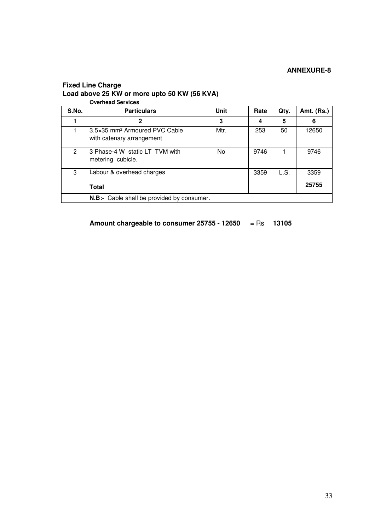#### **Fixed Line Charge Load above 25 KW or more upto 50 KW (56 KVA) Overhead Services**

|               | OVEHICAU JEI VICES                                                      |      |      |      |            |
|---------------|-------------------------------------------------------------------------|------|------|------|------------|
| S.No.         | <b>Particulars</b>                                                      | Unit | Rate | Qty. | Amt. (Rs.) |
|               | 2                                                                       | 3    | 4    | 5    | 6          |
|               | l3.5×35 mm <sup>2</sup> Armoured PVC Cable<br>with catenary arrangement | Mtr. | 253  | 50   | 12650      |
| $\mathcal{P}$ | 3 Phase-4 W static LT TVM with<br>metering cubicle.                     | No   | 9746 |      | 9746       |
| 3             | Labour & overhead charges                                               |      | 3359 | L.S. | 3359       |
|               | Total                                                                   |      |      |      | 25755      |
|               | N.B:- Cable shall be provided by consumer.                              |      |      |      |            |

**Amount chargeable to consumer 25755 - 12650** = Rs **13105**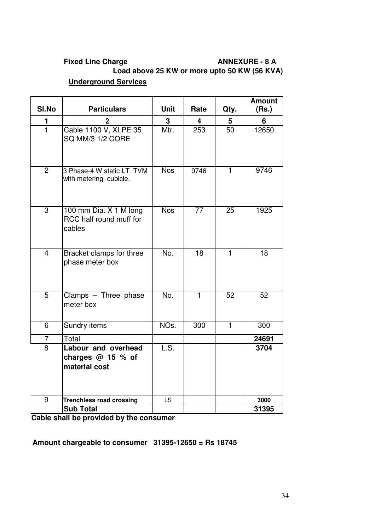## Fixed Line Charge **ANNEXURE - 8 A Load above 25 KW or more upto 50 KW (56 KVA) Underground Services**

| SI.No          | <b>Particulars</b>                                          | <b>Unit</b>      | Rate            | Qty.            | <b>Amount</b><br>(Rs.) |
|----------------|-------------------------------------------------------------|------------------|-----------------|-----------------|------------------------|
| 1              |                                                             | 3                | 4               | 5               | 6                      |
| $\overline{1}$ | Cable 1100 V, XLPE 35<br>SQ MM/3 1/2 CORE                   | Mtr.             | 253             | $\overline{50}$ | 12650                  |
| $\overline{2}$ | 3 Phase-4 W static LT TVM<br>with metering cubicle.         | <b>Nos</b>       | 9746            | $\mathbf{1}$    | 9746                   |
| $\overline{3}$ | 100 mm Dia. X 1 M long<br>RCC half round muff for<br>cables | <b>Nos</b>       | $\overline{77}$ | $\overline{25}$ | 1925                   |
| $\overline{4}$ | Bracket clamps for three<br>phase meter box                 | $\overline{No.}$ | $\overline{18}$ | $\overline{1}$  | $\overline{18}$        |
| $\overline{5}$ | Clamps - Three phase<br>meter box                           | $\overline{No.}$ | $\overline{1}$  | 52              | 52                     |
| 6              | <b>Sundry items</b>                                         | NO <sub>s.</sub> | 300             | $\overline{1}$  | 300                    |
| 7              | Total                                                       |                  |                 |                 | 24691                  |
| 8              | Labour and overhead<br>charges $@$ 15 % of<br>material cost | L.S.             |                 |                 | 3704                   |
| 9              | <b>Trenchless road crossing</b>                             | LS               |                 |                 | 3000                   |
|                | <b>Sub Total</b>                                            |                  |                 |                 | 31395                  |

**Cable shall be provided by the consumer**

**Amount chargeable to consumer 31395-12650 = Rs 18745**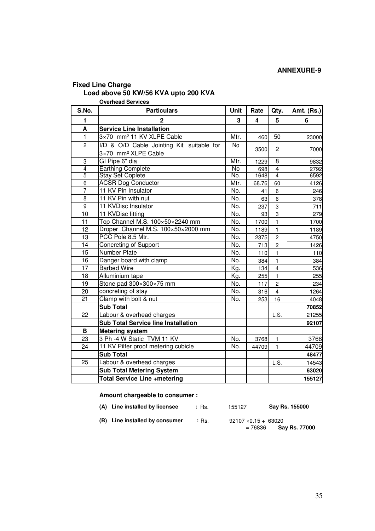## **Fixed Line Charge**

## **Load above 50 KW/56 KVA upto 200 KVA**

**Overhead Services** 

| S.No.           | <b>Particulars</b>                         | Unit           | Rate  | Qty.                    | Amt. (Rs.) |
|-----------------|--------------------------------------------|----------------|-------|-------------------------|------------|
| 1               | $\overline{2}$                             | 3              | 4     | 5                       | 6          |
| A               | <b>Service Line Installation</b>           |                |       |                         |            |
| $\mathbf{1}$    | 3×70 mm <sup>2</sup> 11 KV XLPE Cable      | Mtr.           | 460   | 50                      | 23000      |
| $\overline{2}$  | I/D & O/D Cable Jointing Kit suitable for  | <b>No</b>      |       | $\overline{c}$          |            |
|                 | 3×70 mm <sup>2</sup> XLPE Cable            |                | 3500  |                         | 7000       |
| 3               | GI Pipe 6" dia                             | Mtr.           | 1229  | 8                       | 9832       |
| $\overline{4}$  | <b>Earthing Complete</b>                   | $\overline{N}$ | 698   | $\overline{4}$          | 2792       |
| 5               | <b>Stay Set Coplete</b>                    | No.            | 1648  | $\overline{4}$          | 6592       |
| 6               | <b>ACSR Dog Conductor</b>                  | Mtr.           | 68.76 | 60                      | 4126       |
| $\overline{7}$  | 11 KV Pin Insulator                        | No.            | 41    | 6                       | 246        |
| 8               | 11 KV Pin with nut                         | No.            | 63    | 6                       | 378        |
| $\overline{9}$  | 11 KVDisc Insulator                        | No.            | 237   | 3                       | 711        |
| 10              | 11 KVDisc fitting                          | No.            | 93    | 3                       | 279        |
| 11              | Top Channel M.S. 100×50×2240 mm            | No.            | 1700  | $\mathbf{1}$            | 1700       |
| $\overline{12}$ | Droper Channel M.S. 100×50×2000 mm         | No.            | 1189  | $\mathbf{1}$            | 1189       |
| 13              | PCC Pole 8.5 Mtr.                          | No.            | 2375  | $\overline{c}$          | 4750       |
| 14              | Concreting of Support                      | No.            | 713   | $\overline{c}$          | 1426       |
| 15              | <b>Number Plate</b>                        | No.            | 110   | $\mathbf{1}$            | 110        |
| 16              | Danger board with clamp                    | No.            | 384   | $\mathbf{1}$            | 384        |
| 17              | <b>Barbed Wire</b>                         | Kg.            | 134   | $\overline{\mathbf{4}}$ | 536        |
| 18              | Alluminium tape                            | Kg.            | 255   | $\mathbf{1}$            | 255        |
| 19              | Stone pad 300×300×75 mm                    | No.            | 117   | $\overline{c}$          | 234        |
| 20              | concreting of stay                         | No.            | 316   | $\overline{\mathbf{4}}$ | 1264       |
| 21              | Clamp with bolt & nut                      | No.            | 253   | 16                      | 4048       |
|                 | <b>Sub Total</b>                           |                |       |                         | 70852      |
| 22              | Labour & overhead charges                  |                |       | L.S.                    | 21255      |
|                 | <b>Sub Total Service line Installation</b> |                |       |                         | 92107      |
| B               | Metering system                            |                |       |                         |            |
| 23              | 3 Ph -4 W Static TVM 11 KV                 | No.            | 3768  | $\mathbf{1}$            | 3768       |
| 24              | 11 KV Pilfer proof metering cubicle        | No.            | 44709 | $\mathbf{1}$            | 44709      |
|                 | <b>Sub Total</b>                           |                |       |                         | 48477      |
| 25              | Labour & overhead charges                  |                |       | L.S.                    | 14543      |
|                 | <b>Sub Total Metering System</b>           |                |       |                         | 63020      |
|                 | Total Service Line +metering               |                |       |                         | 155127     |

**Amount chargeable to consumer :**

| (A) Line installed by licensee | : Rs. | 155127                                 | Say Rs. 155000 |
|--------------------------------|-------|----------------------------------------|----------------|
| (B) Line installed by consumer | :Rs.  | $92107 \times 0.15 + 63020$<br>= 76836 | Say Rs. 77000  |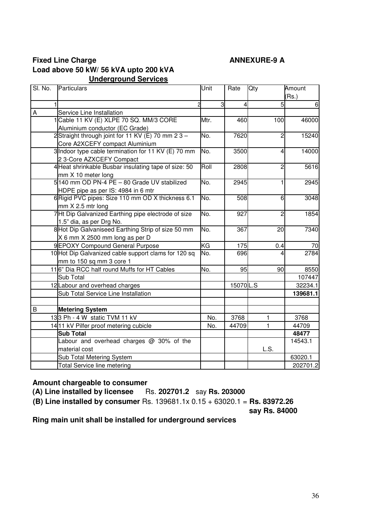## **Fixed Line Charge ANNEXURE-9 A Load above 50 kW/ 56 kVA upto 200 kVA Underground Services**

| SI. No. | Particulars                                          | Unit      | Rate     | Qty            | Amount          |
|---------|------------------------------------------------------|-----------|----------|----------------|-----------------|
|         |                                                      |           |          |                | (Rs.)           |
|         | 1                                                    | 3         | 4        | 5              | $6\phantom{1}6$ |
| A       | Service Line Installation                            |           |          |                |                 |
|         | 1 Cable 11 KV (E) XLPE 70 SQ. MM/3 CORE              | Mtr.      | 460      | 100            | 46000           |
|         | Aluminium conductor (EC Grade)                       |           |          |                |                 |
|         | 2Straight through joint for 11 KV (E) 70 mm 2 3 -    | No.       | 7620     | 2              | 15240           |
|         | Core A2XCEFY compact Aluminium                       |           |          |                |                 |
|         | 3 Indoor type cable termination for 11 KV (E) 70 mm  | No.       | 3500     | 4              | 14000           |
|         | 2 3-Core AZXCEFY Compact                             |           |          |                |                 |
|         | 4 Heat shrinkable Busbar insulating tape of size: 50 | Roll      | 2808     | $\overline{c}$ | 5616            |
|         | mm X 10 meter long                                   |           |          |                |                 |
|         | 5140 mm OD PN-4 PE - 80 Grade UV stabilized          | No.       | 2945     |                | 2945            |
|         | HDPE pipe as per IS: 4984 in 6 mtr                   |           |          |                |                 |
|         | 6 Rigid PVC pipes: Size 110 mm OD X thickness 6.1    | No.       | 508      | 6              | 3048            |
|         | mm X 2.5 mtr long                                    |           |          |                |                 |
|         | 7Ht Dip Galvanized Earthing pipe electrode of size   | No.       | 927      | 2              | 1854            |
|         | 1.5" dia, as per Drg No.                             |           |          |                |                 |
|         | 8 Hot Dip Galvaniseed Earthing Strip of size 50 mm   | No.       | 367      | 20             | 7340            |
|         | X 6 mm X 2500 mm long as per D                       |           |          |                |                 |
|         | 9EPOXY Compound General Purpose                      | <b>KG</b> | 175      | 0.4            | 70              |
|         | 10 Hot Dip Galvanized cable support clams for 120 sq | No.       | 696      |                | 2784            |
|         | mm to 150 sq mm 3 core 1                             |           |          |                |                 |
|         | 116" Dia RCC half round Muffs for HT Cables          | No.       | 95       | 90             | 8550            |
|         | Sub Total                                            |           |          |                | 107447          |
|         | 12Labour and overhead charges                        |           | 15070L.S |                | 32234.1         |
|         | Sub Total Service Line Installation                  |           |          |                | 139681.1        |
|         |                                                      |           |          |                |                 |
| B       | <b>Metering System</b>                               |           |          |                |                 |
|         | 133 Ph - 4 W static TVM 11 kV                        | No.       | 3768     | 1              | 3768            |
|         | 1411 kV Pilfer proof metering cubicle                | No.       | 44709    | 1              | 44709           |
|         | <b>Sub Total</b>                                     |           |          |                | 48477           |
|         | Labour and overhead charges @ 30% of the             |           |          |                | 14543.1         |
|         | material cost                                        |           |          | L.S.           |                 |
|         | Sub Total Metering System                            |           |          |                | 63020.1         |
|         | <b>Total Service line metering</b>                   |           |          |                | 202701.2        |

## **Amount chargeable to consumer**

**(A) Line installed by licensee** Rs. **202701.2** say **Rs. 203000** 

**(B) Line installed by consumer** Rs. 139681.1x 0.15 + 63020.1 = **Rs. 83972.26** 

**say Rs. 84000** 

**Ring main unit shall be installed for underground services**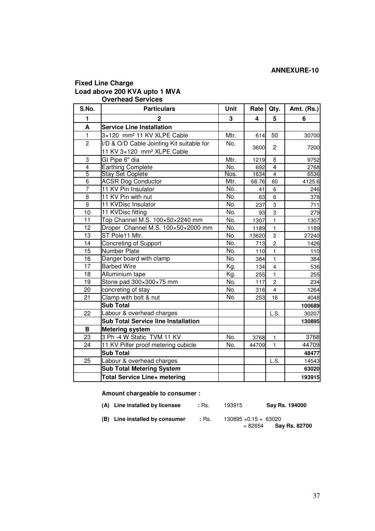#### **Fixed Line Charge Load above 200 KVA upto 1 MVA Overhead Services**

| S.No.          | <b>Particulars</b>                         | Unit | Rate  | Qty.           | <b>Amt. (Rs.)</b> |
|----------------|--------------------------------------------|------|-------|----------------|-------------------|
| 1              | $\overline{2}$                             | 3    | 4     | 5              | 6                 |
| A              | <b>Service Line Installation</b>           |      |       |                |                   |
| $\mathbf{1}$   | 3×120 mm <sup>2</sup> 11 KV XLPE Cable     | Mtr. | 614   | 50             | 30700             |
| $\overline{2}$ | I/D & O/D Cable Jointing Kit suitable for  | No.  |       | 2              |                   |
|                | 11 KV 3×120 mm <sup>2</sup> XLPE Cable     |      | 3600  |                | 7200              |
| 3              | GI Pipe 6" dia                             | Mtr. | 1219  | 8              | 9752              |
| $\overline{4}$ | <b>Earthing Complete</b>                   | No.  | 692   | $\overline{4}$ | 2768              |
| $\overline{5}$ | <b>Stay Set Coplete</b>                    | Nos. | 1634  | $\overline{4}$ | 6536              |
| 6              | <b>ACSR Dog Conductor</b>                  | Mtr. | 68.76 | 60             | 4125.6            |
| $\overline{7}$ | 11 KV Pin Insulator                        | No.  | 41    | 6              | 246               |
| $\overline{8}$ | 11 KV Pin with nut                         | No.  | 63    | 6              | 378               |
| $\overline{9}$ | 11 KVDisc Insulator                        | No.  | 237   | 3              | 711               |
| 10             | 11 KVDisc fitting                          | No.  | 93    | 3              | 279               |
| 11             | Top Channel M.S. 100×50×2240 mm            | No.  | 1307  | $\mathbf{1}$   | 1307              |
| 12             | Droper Channel M.S. 100×50×2000 mm         | No.  | 1189  | $\mathbf{1}$   | 1189              |
| 13             | ST Pole11 Mtr.                             | No.  | 13620 | $\overline{c}$ | 27240             |
| 14             | Concreting of Support                      | No.  | 713   | $\overline{c}$ | 1426              |
| 15             | Number Plate                               | No.  | $110$ | 1              | 110               |
| 16             | Danger board with clamp                    | No.  | 384   | $\mathbf{1}$   | 384               |
| 17             | <b>Barbed Wire</b>                         | Kg.  | 134   | $\overline{4}$ | 536               |
| 18             | Alluminium tape                            | Kg.  | 255   | $\mathbf{1}$   | 255               |
| 19             | Stone pad 300×300×75 mm                    | No.  | 117   | $\overline{c}$ | 234               |
| 20             | concreting of stay                         | No.  | 316   | $\overline{4}$ | 1264              |
| 21             | Clamp with bolt & nut                      | No.  | 253   | 16             | 4048              |
|                | <b>Sub Total</b>                           |      |       |                | 100689            |
| 22             | Labour & overhead charges                  |      |       | L.S.           | 30207             |
|                | <b>Sub Total Service line Installation</b> |      |       |                | 130895            |
| В              | <b>Metering system</b>                     |      |       |                |                   |
| 23             | 3 Ph -4 W Static TVM 11 KV                 | No.  | 3768  | $\mathbf{1}$   | 3768              |
| 24             | 11 KV Pilfer proof metering cubicle        | No.  | 44709 | $\mathbf{1}$   | 44709             |
|                | <b>Sub Total</b>                           |      |       |                | 48477             |
| 25             | Labour & overhead charges                  |      |       | L.S.           | 14543             |
|                | <b>Sub Total Metering System</b>           |      |       |                | 63020             |
|                | Total Service Line+ metering               |      |       |                | 193915            |

**Amount chargeable to consumer :**

| (A) Line installed by licensee | : Rs. | 193915                       | Say Rs. 194000 |
|--------------------------------|-------|------------------------------|----------------|
| (B) Line installed by consumer | :Rs.  | $130895 \times 0.15 + 63020$ |                |

**(B)** Line installed by consumer : Rs.  $130895 \times 0.15 + 63020$ <br>= 82654 **Say Rs. 82700**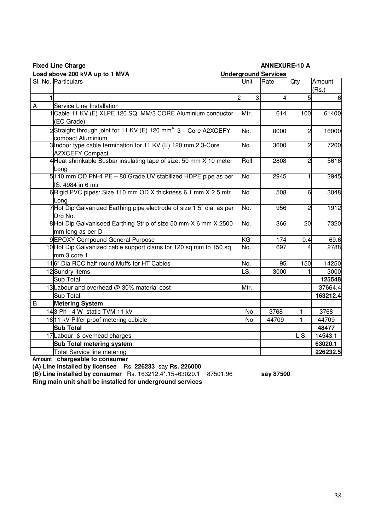|                | Load above 200 kVA up to 1 MVA                                                                  |      | <b>Underground Services</b> |                |          |
|----------------|-------------------------------------------------------------------------------------------------|------|-----------------------------|----------------|----------|
|                | SI. No. Particulars                                                                             | Unit | Rate                        | Qty            | Amount   |
|                |                                                                                                 |      |                             |                | (Rs.)    |
|                |                                                                                                 | 3    | 4                           | 5              | 6        |
| $\overline{A}$ | Service Line Installation                                                                       |      |                             |                |          |
|                | Cable 11 KV (E) XLPE 120 SQ. MM/3 CORE Aluminium conductor                                      | Mtr. | 614                         | 100            | 61400    |
|                | (EC Grade)                                                                                      |      |                             |                |          |
|                | 2Straight through joint for 11 KV (E) 120 mm <sup>2</sup> 3 - Core A2XCEFY<br>compact Aluminium | No.  | 8000                        | $\overline{c}$ | 16000    |
|                | 3 Indoor type cable termination for 11 KV (E) 120 mm 2 3-Core                                   | No.  | 3600                        | $\overline{c}$ | 7200     |
|                | <b>AZXCEFY Compact</b>                                                                          |      |                             |                |          |
|                | 4 Heat shrinkable Busbar insulating tape of size: 50 mm X 10 meter                              | Roll | 2808                        | 2              | 5616     |
|                | Long                                                                                            |      |                             |                |          |
|                | 5 140 mm OD PN-4 PE - 80 Grade UV stabilized HDPE pipe as per                                   | No.  | 2945                        |                | 2945     |
|                | IS: 4984 in 6 mtr                                                                               |      |                             |                |          |
|                | 6 Rigid PVC pipes: Size 110 mm OD X thickness 6.1 mm X 2.5 mtr                                  | No.  | 508                         | 6              | 3048     |
|                | Long                                                                                            |      |                             |                |          |
|                | 7Hot Dip Galvanized Earthing pipe electrode of size 1.5" dia, as per                            | No.  | 956                         | $\overline{c}$ | 1912     |
|                | Drg No.                                                                                         |      |                             |                |          |
|                | 8Hot Dip Galvaniseed Earthing Strip of size 50 mm X 6 mm X 2500                                 | No.  | 366                         | 20             | 7320     |
|                | mm long as per D                                                                                |      |                             |                |          |
|                | 9EPOXY Compound General Purpose                                                                 | KG   | 174                         | 0.4            | 69.6     |
|                | 10 Hot Dip Galvanized cable support clams for 120 sq mm to 150 sq                               | No.  | 697                         | 4              | 2788     |
|                | mm 3 core 1                                                                                     |      |                             |                |          |
|                | 116" Dia RCC half round Muffs for HT Cables                                                     | No.  | 95                          | 150            | 14250    |
|                | 12 Sundry Items                                                                                 | S.   | 3000                        |                | 3000     |
|                | Sub Total                                                                                       |      |                             |                | 125548   |
|                | 13 Labour and overhead @ 30% material cost                                                      | Mtr. |                             |                | 37664.4  |
|                | Sub Total                                                                                       |      |                             |                | 163212.4 |
| $\sf B$        | <b>Metering System</b>                                                                          |      |                             |                |          |
|                | 143 Ph - 4 W static TVM 11 kV                                                                   | No.  | 3768                        | 1              | 3768     |
|                | 16 11 kV Pilfer proof metering cubicle                                                          | No.  | 44709                       | 1              | 44709    |
|                | <b>Sub Total</b>                                                                                |      |                             |                | 48477    |
|                | 17 Labour & overhead charges                                                                    |      |                             | L.S.           | 14543.1  |
|                | Sub Total metering system                                                                       |      |                             |                | 63020.1  |
|                | <b>Total Service line metering</b>                                                              |      |                             |                | 226232.5 |

**Fixed Line Charge ANNEXURE-10 A** 

**Amount chargeable to consumer**

**(A) Line installed by licensee** Rs. **226233** say **Rs. 226000**

**(B) Line installed by consumer** Rs. 163212.4\*.15+63020.1 = 87501.96 **say 87500**

**Ring main unit shall be installed for underground services**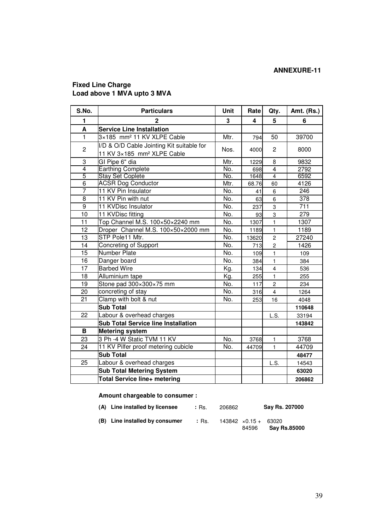#### **Fixed Line Charge Load above 1 MVA upto 3 MVA**

| S.No.          | <b>Particulars</b>                                                                  | <b>Unit</b> | Rate  | Qty.                    | <b>Amt. (Rs.)</b> |
|----------------|-------------------------------------------------------------------------------------|-------------|-------|-------------------------|-------------------|
| 1              | $\mathbf{2}$                                                                        | 3           | 4     | 5                       | 6                 |
| A              | <b>Service Line Installation</b>                                                    |             |       |                         |                   |
| $\mathbf{1}$   | 3×185 mm <sup>2</sup> 11 KV XLPE Cable                                              | Mtr.        | 794   | 50                      | 39700             |
| $\overline{c}$ | I/D & O/D Cable Jointing Kit suitable for<br>11 KV 3×185 mm <sup>2</sup> XLPE Cable | Nos.        | 4000  | $\overline{2}$          | 8000              |
| 3              | GI Pipe 6" dia                                                                      | Mtr.        | 1229  | 8                       | 9832              |
| $\overline{4}$ | <b>Earthing Complete</b>                                                            | No.         | 698   | $\overline{4}$          | 2792              |
| $\overline{5}$ | <b>Stay Set Coplete</b>                                                             | No.         | 1648  | $\overline{4}$          | 6592              |
| 6              | <b>ACSR Dog Conductor</b>                                                           | Mtr.        | 68.76 | 60                      | 4126              |
| $\overline{7}$ | 11 KV Pin Insulator                                                                 | No.         | 41    | 6                       | 246               |
| $\overline{8}$ | 11 KV Pin with nut                                                                  | No.         | 63    | 6                       | 378               |
| $\overline{9}$ | 11 KVDisc Insulator                                                                 | No.         | 237   | $\overline{3}$          | 711               |
| 10             | 11 KVDisc fitting                                                                   | No.         | 93    | $\overline{3}$          | 279               |
| 11             | Top Channel M.S. 100×50×2240 mm                                                     | No.         | 1307  | $\mathbf{1}$            | 1307              |
| 12             | Droper Channel M.S. 100×50×2000 mm                                                  | No.         | 1189  | $\mathbf{1}$            | 1189              |
| 13             | STP Pole11 Mtr.                                                                     | No.         | 13620 | $\overline{c}$          | 27240             |
| 14             | Concreting of Support                                                               | No.         | 713   | $\overline{c}$          | 1426              |
| 15             | <b>Number Plate</b>                                                                 | No.         | 109   | $\mathbf{1}$            | 109               |
| 16             | Danger board                                                                        | No.         | 384   | $\mathbf{1}$            | 384               |
| 17             | <b>Barbed Wire</b>                                                                  | Kg.         | 134   | $\overline{\mathbf{4}}$ | 536               |
| 18             | Alluminium tape                                                                     | Kg.         | 255   | $\mathbf{1}$            | 255               |
| 19             | Stone pad 300×300×75 mm                                                             | No.         | 117   | $\overline{c}$          | 234               |
| 20             | concreting of stay                                                                  | No.         | 316   | $\overline{\mathbf{4}}$ | 1264              |
| 21             | Clamp with bolt & nut                                                               | No.         | 253   | 16                      | 4048              |
|                | <b>Sub Total</b>                                                                    |             |       |                         | 110648            |
| 22             | Labour & overhead charges                                                           |             |       | L.S.                    | 33194             |
|                | <b>Sub Total Service line Installation</b>                                          |             |       |                         | 143842            |
| В              | <b>Metering system</b>                                                              |             |       |                         |                   |
| 23             | 3 Ph -4 W Static TVM 11 KV                                                          | No.         | 3768  | $\mathbf{1}$            | 3768              |
| 24             | 11 KV Pilfer proof metering cubicle                                                 | No.         | 44709 | $\mathbf{1}$            | 44709             |
|                | <b>Sub Total</b>                                                                    |             |       |                         | 48477             |
| 25             | Labour & overhead charges                                                           |             |       | L.S.                    | 14543             |
|                | <b>Sub Total Metering System</b>                                                    |             |       |                         | 63020             |
|                | Total Service line+ metering                                                        |             |       |                         | 206862            |

**Amount chargeable to consumer :**

| (A) Line installed by licensee | :Rs. | 206862 |                                       | Say Rs. 207000      |
|--------------------------------|------|--------|---------------------------------------|---------------------|
| (B) Line installed by consumer | :Rs. |        | $143842 \times 0.15 + 63020$<br>84596 | <b>Say Rs.85000</b> |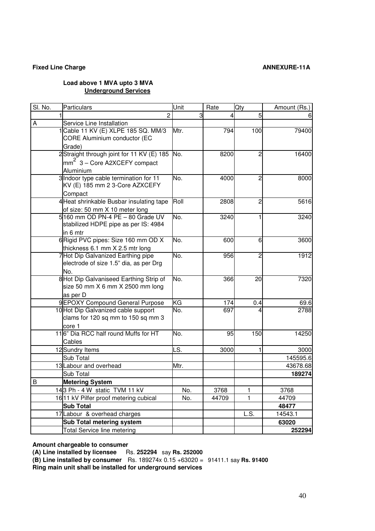#### **Fixed Line Charge ANNEXURE-11A**

#### **Load above 1 MVA upto 3 MVA Underground Services**

| SI. No. | Particulars                                                                  | Unit | Rate  | Qty  | Amount (Rs.) |
|---------|------------------------------------------------------------------------------|------|-------|------|--------------|
|         | $\overline{c}$                                                               | 3    | 4     | 5    |              |
| A       | Service Line Installation                                                    |      |       |      |              |
|         | Cable 11 KV (E) XLPE 185 SQ. MM/3                                            | Mtr. | 794   | 100  | 79400        |
|         | CORE Aluminium conductor (EC                                                 |      |       |      |              |
|         | Grade)                                                                       |      |       |      |              |
|         | 2Straight through joint for 11 KV (E) 185                                    | No.  | 8200  | 2    | 16400        |
|         | mm <sup>2</sup> 3 – Core A2XCEFY compact                                     |      |       |      |              |
|         | Aluminium                                                                    |      |       |      |              |
|         | 3 Indoor type cable termination for 11                                       | No.  | 4000  | 2    | 8000         |
|         | KV (E) 185 mm 2 3-Core AZXCEFY                                               |      |       |      |              |
|         | Compact                                                                      |      |       |      |              |
|         | 4 Heat shrinkable Busbar insulating tape                                     | Roll | 2808  | 2    | 5616         |
|         | of size: 50 mm X 10 meter long                                               |      |       |      |              |
|         | 5160 mm OD PN-4 PE - 80 Grade UV                                             | No.  | 3240  | 1    | 3240         |
|         | stabilized HDPE pipe as per IS: 4984                                         |      |       |      |              |
|         | in 6 mtr                                                                     |      |       |      |              |
|         | 6 Rigid PVC pipes: Size 160 mm OD X                                          | No.  | 600   | 6    | 3600         |
|         | thickness 6.1 mm X 2.5 mtr long                                              |      |       |      |              |
|         | 7 Hot Dip Galvanized Earthing pipe<br>electrode of size 1.5" dia, as per Drg | No.  | 956   | 2    | 1912         |
|         | No.                                                                          |      |       |      |              |
|         | 8 Hot Dip Galvaniseed Earthing Strip of                                      | No.  | 366   | 20   | 7320         |
|         | size 50 mm X 6 mm X 2500 mm long                                             |      |       |      |              |
|         | as per D                                                                     |      |       |      |              |
|         | 9 EPOXY Compound General Purpose                                             | KG   | 174   | 0.4  | 69.6         |
|         | 10 Hot Dip Galvanized cable support                                          | No.  | 697   |      | 2788         |
|         | clams for 120 sq mm to 150 sq mm 3                                           |      |       |      |              |
|         | core 1                                                                       |      |       |      |              |
|         | 116" Dia RCC half round Muffs for HT                                         | No.  | 95    | 150  | 14250        |
|         | Cables                                                                       |      |       |      |              |
|         | 12 Sundry Items                                                              | LS.  | 3000  | 1    | 3000         |
|         | Sub Total                                                                    |      |       |      | 145595.6     |
|         | 13 Labour and overhead                                                       | Mtr. |       |      | 43678.68     |
|         | Sub Total                                                                    |      |       |      | 189274       |
| B       | <b>Metering System</b>                                                       |      |       |      |              |
|         | 143 Ph - 4 W static TVM 11 kV                                                | No.  | 3768  | 1    | 3768         |
|         | 16 11 kV Pilfer proof metering cubical                                       | No.  | 44709 | 1    | 44709        |
|         | <b>Sub Total</b>                                                             |      |       |      | 48477        |
|         | 17 Labour & overhead charges                                                 |      |       | L.S. | 14543.1      |
|         | Sub Total metering system                                                    |      |       |      | 63020        |
|         | <b>Total Service line metering</b>                                           |      |       |      | 252294       |

**Amount chargeable to consumer** 

**(A) Line installed by licensee** Rs. **252294** say **Rs. 252000** 

**(B) Line installed by consumer** Rs. 189274x 0.15 +63020 = 91411.1 say **Rs. 91400 Ring main unit shall be installed for underground services**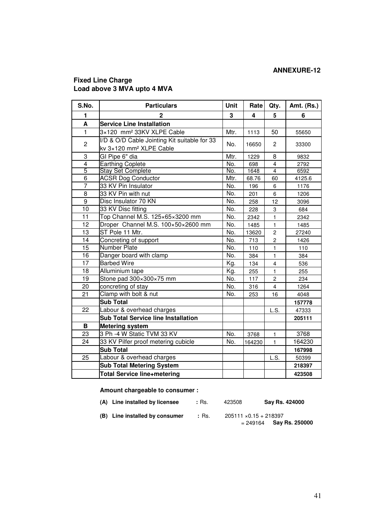## **Fixed Line Charge Load above 3 MVA upto 4 MVA**

| S.No.          | <b>Particulars</b>                                                                  | Unit                     | Rate   | Qty.                    | Amt. (Rs.) |
|----------------|-------------------------------------------------------------------------------------|--------------------------|--------|-------------------------|------------|
| 1              | $\mathbf{2}$                                                                        | 3                        | 4      | 5                       | 6          |
| A              | <b>Service Line Installation</b>                                                    |                          |        |                         |            |
| $\mathbf{1}$   | 3×120 mm <sup>2</sup> 33KV XLPE Cable                                               | Mtr.                     | 1113   | 50                      | 55650      |
| $\overline{c}$ | I/D & O/D Cable Jointing Kit suitable for 33<br>kv 3×120 mm <sup>2</sup> XLPE Cable | No.                      | 16650  | $\mathbf{2}$            | 33300      |
| 3              | GI Pipe 6" dia                                                                      | Mtr.                     | 1229   | 8                       | 9832       |
| $\overline{4}$ | Earthing Coplete                                                                    | No.                      | 698    | 4                       | 2792       |
| $\overline{5}$ | <b>Stay Set Complete</b>                                                            | No.                      | 1648   | $\overline{4}$          | 6592       |
| $\overline{6}$ | <b>ACSR Dog Conductor</b>                                                           | Mtr.                     | 68.76  | 60                      | 4125.6     |
| $\overline{7}$ | 33 KV Pin Insulator                                                                 | No.                      | 196    | 6                       | 1176       |
| $\overline{8}$ | 33 KV Pin with nut                                                                  | No.                      | 201    | 6                       | 1206       |
| $\overline{9}$ | Disc Insulator 70 KN                                                                | No.                      | 258    | 12                      | 3096       |
| 10             | 33 KV Disc fitting                                                                  | No.                      | 228    | 3                       | 684        |
| 11             | Top Channel M.S. 125×65×3200 mm                                                     | No.                      | 2342   | 1                       | 2342       |
| 12             | Droper Channel M.S. 100×50×2600 mm                                                  | No.                      | 1485   | 1                       | 1485       |
| 13             | ST Pole 11 Mtr.                                                                     | $\overline{\text{No}}$ . | 13620  | $\overline{c}$          | 27240      |
| 14             | Concreting of support                                                               | No.                      | 713    | $\overline{\mathbf{c}}$ | 1426       |
| 15             | Number Plate                                                                        | No.                      | 110    | 1                       | 110        |
| 16             | Danger board with clamp                                                             | No.                      | 384    | $\mathbf{1}$            | 384        |
| 17             | <b>Barbed Wire</b>                                                                  | Kg.                      | 134    | $\overline{\mathbf{4}}$ | 536        |
| 18             | Alluminium tape                                                                     | Kg.                      | 255    | 1                       | 255        |
| 19             | Stone pad 300×300×75 mm                                                             | No.                      | 117    | $\overline{c}$          | 234        |
| 20             | concreting of stay                                                                  | No.                      | 316    | $\overline{\mathbf{4}}$ | 1264       |
| 21             | Clamp with bolt & nut                                                               | No.                      | 253    | 16                      | 4048       |
|                | <b>Sub Total</b>                                                                    |                          |        |                         | 157778     |
| 22             | Labour & overhead charges                                                           |                          |        | L.S.                    | 47333      |
|                | <b>Sub Total Service line Installation</b>                                          |                          |        |                         | 205111     |
| B              | <b>Metering system</b>                                                              |                          |        |                         |            |
| 23             | 3 Ph -4 W Static TVM 33 KV                                                          | No.                      | 3768   | $\mathbf{1}$            | 3768       |
| 24             | 33 KV Pilfer proof metering cubicle                                                 | No.                      | 164230 | $\mathbf{1}$            | 164230     |
|                | <b>Sub Total</b>                                                                    |                          |        |                         | 167998     |
| 25             | Labour & overhead charges                                                           |                          |        | L.S.                    | 50399      |
|                | <b>Sub Total Metering System</b>                                                    |                          |        |                         | 218397     |
|                | <b>Total Service line+metering</b>                                                  |                          |        |                         | 423508     |

#### **Amount chargeable to consumer :**

| (A) Line installed by licensee | : Rs. | 423508                        | Say Rs. 424000            |
|--------------------------------|-------|-------------------------------|---------------------------|
| (B) Line installed by consumer | :Rs.  | $205111 \times 0.15 + 218397$ | $= 249164$ Say Rs. 250000 |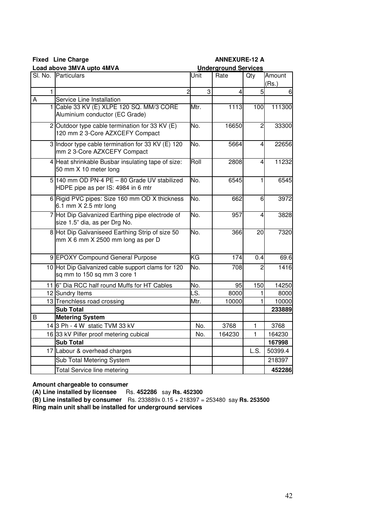**Fixed** Line Charge **ANNEXURE-12 A** 

|              | Load above 3MVA upto 4MVA                         | <b>Underground Services</b> |                |                |         |
|--------------|---------------------------------------------------|-----------------------------|----------------|----------------|---------|
|              | SI. No. Particulars                               | Unit                        | Rate           | Amount         |         |
|              |                                                   |                             |                |                | (Rs.)   |
| $\mathbf{1}$ | $\overline{a}$                                    | 3                           | $\overline{4}$ | 5              | 6       |
| Α            | Service Line Installation                         |                             |                |                |         |
|              | 1 Cable 33 KV (E) XLPE 120 SQ. MM/3 CORE          | Mtr.                        | 1113           | 100            | 111300  |
|              | Aluminium conductor (EC Grade)                    |                             |                |                |         |
|              | 2 Outdoor type cable termination for 33 KV (E)    | No.                         | 16650          | $\overline{2}$ | 33300   |
|              | 120 mm 2 3-Core AZXCEFY Compact                   |                             |                |                |         |
|              | 3 Indoor type cable termination for 33 KV (E) 120 | No.                         | 5664           | 4              | 22656   |
|              | mm 2 3-Core AZXCEFY Compact                       |                             |                |                |         |
|              | 4 Heat shrinkable Busbar insulating tape of size: | Roll                        | 2808           | 4              | 11232   |
|              | 50 mm X 10 meter long                             |                             |                |                |         |
|              | 5 140 mm OD PN-4 PE - 80 Grade UV stabilized      | No.                         | 6545           | 1              | 6545    |
|              | HDPE pipe as per IS: 4984 in 6 mtr                |                             |                |                |         |
|              | 6 Rigid PVC pipes: Size 160 mm OD X thickness     | No.                         | 662            | 6              | 3972    |
|              | 6.1 mm X 2.5 mtr long                             |                             |                |                |         |
|              | 7 Hot Dip Galvanized Earthing pipe electrode of   | No.                         | 957            | 4              | 3828    |
|              | size 1.5" dia, as per Drg No.                     |                             |                |                |         |
|              | 8 Hot Dip Galvaniseed Earthing Strip of size 50   | No.                         | 366            | 20             | 7320    |
|              | mm X 6 mm X 2500 mm long as per D                 |                             |                |                |         |
|              |                                                   |                             |                |                |         |
|              | 9 EPOXY Compound General Purpose                  | ΚG                          | 174            | 0.4            | 69.6    |
|              | 10 Hot Dip Galvanized cable support clams for 120 | No.                         | 708            |                | 1416    |
|              | sq mm to 150 sq mm 3 core 1                       |                             |                |                |         |
|              | 11 6" Dia RCC half round Muffs for HT Cables      | No.                         | 95             | 150            | 14250   |
|              | 12 Sundry Items                                   | LS.                         | 8000           |                | 8000    |
|              | 13 Trenchless road crossing                       | Mtr.                        | 10000          |                | 10000   |
|              | <b>Sub Total</b>                                  |                             |                |                | 233889  |
| B            | <b>Metering System</b>                            |                             |                |                |         |
|              | 14 3 Ph - 4 W static TVM 33 kV                    | No.                         | 3768           | 1              | 3768    |
|              | 16 33 kV Pilfer proof metering cubical            | No.                         | 164230         | 1              | 164230  |
|              | Sub Total                                         |                             |                |                | 167998  |
|              | 17 Labour & overhead charges                      |                             |                | L.S.           | 50399.4 |
|              | Sub Total Metering System                         |                             |                |                | 218397  |
|              | <b>Total Service line metering</b>                |                             |                |                | 452286  |

**Amount chargeable to consumer** 

**(A) Line installed by licensee** Rs. **452286** say **Rs. 452300** 

**(B) Line installed by consumer** Rs. 233889x 0.15 + 218397 = 253480 say **Rs. 253500 Ring main unit shall be installed for underground services**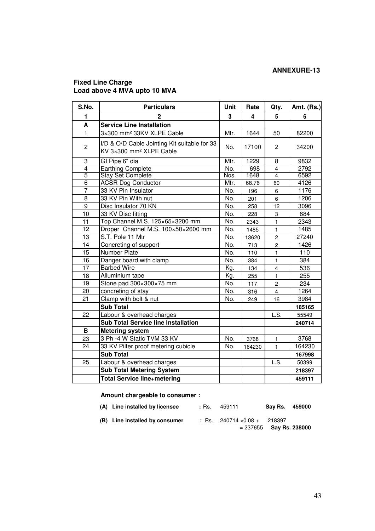#### **Fixed Line Charge Load above 4 MVA upto 10 MVA**

| S.No.           | <b>Particulars</b>                                                                  | Unit | Rate   | Qty.                    | Amt. (Rs.) |
|-----------------|-------------------------------------------------------------------------------------|------|--------|-------------------------|------------|
| 1               | $\overline{2}$                                                                      | 3    | 4      | 5                       | 6          |
| A               | <b>Service Line Installation</b>                                                    |      |        |                         |            |
| $\mathbf{1}$    | 3×300 mm <sup>2</sup> 33KV XLPE Cable                                               | Mtr. | 1644   | 50                      | 82200      |
| 2               | I/D & O/D Cable Jointing Kit suitable for 33<br>KV 3×300 mm <sup>2</sup> XLPE Cable | No.  | 17100  | $\overline{c}$          | 34200      |
| 3               | GI Pipe 6" dia                                                                      | Mtr. | 1229   | 8                       | 9832       |
| $\overline{4}$  | <b>Earthing Complete</b>                                                            | No.  | 698    | $\overline{4}$          | 2792       |
| 5               | <b>Stay Set Complete</b>                                                            | Nos. | 1648   | 4                       | 6592       |
| $\overline{6}$  | <b>ACSR Dog Conductor</b>                                                           | Mtr. | 68.76  | 60                      | 4126       |
| $\overline{7}$  | 33 KV Pin Insulator                                                                 | No.  | 196    | 6                       | 1176       |
| 8               | 33 KV Pin With nut                                                                  | No.  | 201    | 6                       | 1206       |
| $\overline{9}$  | Disc Insulator 70 KN                                                                | No.  | 258    | 12                      | 3096       |
| 10              | 33 KV Disc fitting                                                                  | No.  | 228    | 3                       | 684        |
| 11              | Top Channel M.S. 125×65×3200 mm                                                     | No.  | 2343   | $\mathbf{1}$            | 2343       |
| $\overline{12}$ | Droper Channel M.S. 100×50×2600 mm                                                  | No.  | 1485   | $\overline{1}$          | 1485       |
| 13              | S.T. Pole 11 Mtr                                                                    | No.  | 13620  | $\overline{c}$          | 27240      |
| 14              | Concreting of support                                                               | No.  | 713    | $\overline{c}$          | 1426       |
| 15              | <b>Number Plate</b>                                                                 | No.  | 110    | 1                       | 110        |
| 16              | Danger board with clamp                                                             | No.  | 384    | $\mathbf{1}$            | 384        |
| 17              | <b>Barbed Wire</b>                                                                  | Kg.  | 134    | $\overline{\mathbf{4}}$ | 536        |
| 18              | Alluminium tape                                                                     | Kg.  | 255    | $\mathbf{1}$            | 255        |
| 19              | Stone pad 300×300×75 mm                                                             | No.  | 117    | $\overline{c}$          | 234        |
| 20              | concreting of stay                                                                  | No.  | 316    | $\overline{4}$          | 1264       |
| 21              | Clamp with bolt & nut                                                               | No.  | 249    | 16                      | 3984       |
|                 | <b>Sub Total</b>                                                                    |      |        |                         | 185165     |
| 22              | Labour & overhead charges                                                           |      |        | L.S.                    | 55549      |
|                 | <b>Sub Total Service line Installation</b>                                          |      |        |                         | 240714     |
| B               | <b>Metering system</b>                                                              |      |        |                         |            |
| 23              | 3 Ph -4 W Static TVM 33 KV                                                          | No.  | 3768   | $\mathbf 1$             | 3768       |
| 24              | 33 KV Pilfer proof metering cubicle                                                 | No.  | 164230 | $\mathbf{1}$            | 164230     |
|                 | <b>Sub Total</b>                                                                    |      |        |                         | 167998     |
| 25              | Labour & overhead charges                                                           |      |        | L.S.                    | 50399      |
|                 | <b>Sub Total Metering System</b>                                                    |      |        |                         | 218397     |
|                 | <b>Total Service line+metering</b>                                                  |      |        |                         | 459111     |

## **Amount chargeable to consumer :**

| (A) Line installed by licensee | :Rs. | 459111                                | Say Rs. 459000            |  |
|--------------------------------|------|---------------------------------------|---------------------------|--|
| (B) Line installed by consumer |      | $:$ Rs. 240714 $\times$ 0.08 + 218397 | $= 237655$ Say Rs. 238000 |  |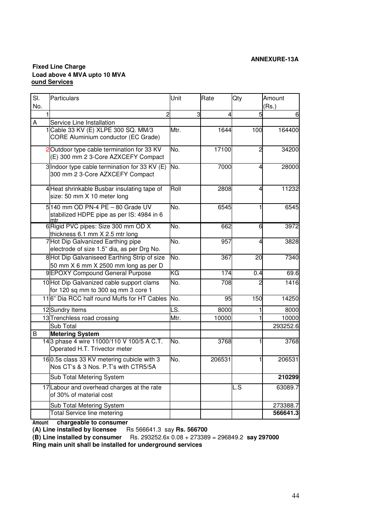#### **ANNEXURE-13A**

#### **Fixed Line Charge Load above 4 MVA upto 10 MVA ound Services**

| SI. | Particulars                                                                          | Unit | Rate   | Qty                    | Amount   |
|-----|--------------------------------------------------------------------------------------|------|--------|------------------------|----------|
| No. |                                                                                      |      |        |                        | (Rs.)    |
|     | $\overline{c}$                                                                       | 3    | 4      | 5                      | 6        |
| A   | Service Line Installation                                                            |      |        |                        |          |
|     | Cable 33 KV (E) XLPE 300 SQ. MM/3<br><b>CORE Aluminium conductor (EC Grade)</b>      | Mtr. | 1644   | 100                    | 164400   |
|     | 2 Outdoor type cable termination for 33 KV<br>(E) 300 mm 2 3-Core AZXCEFY Compact    | No.  | 17100  | $\overline{2}$         | 34200    |
|     | 3 Indoor type cable termination for 33 KV (E)<br>300 mm 2 3-Core AZXCEFY Compact     | No.  | 7000   | 4                      | 28000    |
|     | 4 Heat shrinkable Busbar insulating tape of<br>size: 50 mm X 10 meter long           | Roll | 2808   | 4                      | 11232    |
|     | 5140 mm OD PN-4 PE - 80 Grade UV<br>stabilized HDPE pipe as per IS: 4984 in 6<br>mtr | No.  | 6545   | 1                      | 6545     |
|     | 6 Rigid PVC pipes: Size 300 mm OD X<br>thickness 6.1 mm X 2.5 mtr long               | No.  | 662    | 6                      | 3972     |
|     | 7 Hot Dip Galvanized Earthing pipe<br>electrode of size 1.5" dia, as per Drg No.     | No.  | 957    | 4                      | 3828     |
|     | 8 Hot Dip Galvaniseed Earthing Strip of size<br>50 mm X 6 mm X 2500 mm long as per D | No.  | 367    | $\overline{20}$        | 7340     |
|     | 9EPOXY Compound General Purpose                                                      | ΚG   | 174    | 0.4                    | 69.6     |
|     | 10 Hot Dip Galvanized cable support clams<br>for 120 sq mm to 300 sq mm 3 core 1     | No.  | 708    | 2                      | 1416     |
|     | 116" Dia RCC half round Muffs for HT Cables                                          | No.  | 95     | 150                    | 14250    |
|     | 12 Sundry Items                                                                      | LS.  | 8000   | 1                      | 8000     |
|     | 13 Trenchless road crossing                                                          | Mtr. | 10000  | 1                      | 10000    |
|     | Sub Total                                                                            |      |        |                        | 293252.6 |
| B   | <b>Metering System</b>                                                               |      |        |                        |          |
|     | 143 phase 4 wire 11000/110 V 100/5 A C.T.<br>Operated H.T. Trivector meter           | No.  | 3768   |                        | 3768     |
|     | 160.5s class 33 KV metering cubicle with 3<br>Nos CT's & 3 Nos. P.T's with CTR5/5A   | No.  | 206531 |                        | 206531   |
|     | Sub Total Metering System                                                            |      |        |                        | 210299   |
|     | 17 Labour and overhead charges at the rate<br>of 30% of material cost                |      |        | $\overline{\text{LS}}$ | 63089.7  |
|     | Sub Total Metering System                                                            |      |        |                        | 273388.7 |
|     | <b>Total Service line metering</b>                                                   |      |        |                        | 566641.3 |

**Amount chargeable to consumer**

**(A) Line installed by licensee** Rs 566641.3 say **Rs. 566700**

**(B) Line installed by consumer** Rs. 293252.6x 0.08 + 273389 = 296849.2 **say 297000 Ring main unit shall be installed for underground services**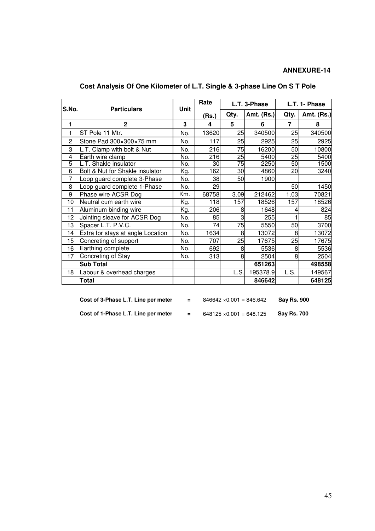| S.No.          | <b>Particulars</b>                | Unit | Rate             | L.T. 3-Phase |            | L.T. 1- Phase   |                   |
|----------------|-----------------------------------|------|------------------|--------------|------------|-----------------|-------------------|
|                |                                   |      | (Rs.)            | Qty.         | Amt. (Rs.) | Qty.            | <b>Amt. (Rs.)</b> |
| 1              | $\mathbf{2}$                      | 3    | 4                | 5            | 6          | $\overline{7}$  | 8                 |
| 1              | ST Pole 11 Mtr.                   | No.  | 13620            | 25           | 340500     | 25              | 340500            |
| $\overline{2}$ | Stone Pad 300×300×75 mm           | No.  | 117              | 25           | 2925       | 25              | 2925              |
| 3              | L.T. Clamp with bolt & Nut        | No.  | 216              | 75           | 16200      | 50              | 10800             |
| 4              | Earth wire clamp                  | No.  | $\overline{216}$ | 25           | 5400       | $\overline{25}$ | 5400              |
| 5              | L.T. Shakle insulator             | No.  | 30               | 75           | 2250       | 50              | 1500              |
| 6              | Bolt & Nut for Shakle insulator   | Kg.  | 162              | 30           | 4860       | 20              | 3240              |
| $\overline{7}$ | Loop guard complete 3-Phase       | No.  | 38               | 50           | 1900       |                 |                   |
| 8              | Loop guard complete 1-Phase       | No.  | 29               |              |            | 50              | 1450              |
| 9              | Phase wire ACSR Dog               | Km.  | 68758            | 3.09         | 212462     | 1.03            | 70821             |
| 10             | Neutral cum earth wire            | Kg.  | 118              | 157          | 18526      | 157             | 18526             |
| 11             | Aluminum binding wire             | Kg.  | 206              | 8            | 1648       | 4               | 824               |
| 12             | Jointing sleave for ACSR Dog      | No.  | 85               | 3            | 255        |                 | 85                |
| 13             | Spacer L.T. P.V.C.                | No.  | 74               | 75           | 5550       | 50              | 3700              |
| 14             | Extra for stays at angle Location | No.  | 1634             | 8            | 13072      | 8               | 13072             |
| 15             | Concreting of support             | No.  | 707              | 25           | 17675      | 25              | 17675             |
| 16             | Earthing complete                 | No.  | 692              | 8            | 5536       | 8               | 5536              |
| 17             | Concreting of Stay                | No.  | 313              | 8            | 2504       | 8               | 2504              |
|                | <b>Sub Total</b>                  |      |                  |              | 651263     |                 | 498558            |
| 18             | Labour & overhead charges         |      |                  | L.S.         | 195378.9   | L.S.            | 149567            |
|                | Total                             |      |                  |              | 846642     |                 | 648125            |

## **Cost Analysis Of One Kilometer of L.T. Single & 3-phase Line On S T Pole**

| Cost of 3-Phase L.T. Line per meter | $\equiv$ | $846642 \times 0.001 = 846.642$ | <b>Say Rs. 900</b> |
|-------------------------------------|----------|---------------------------------|--------------------|
| Cost of 1-Phase L.T. Line per meter | $\equiv$ | $648125 \times 0.001 = 648.125$ | <b>Sav Rs. 700</b> |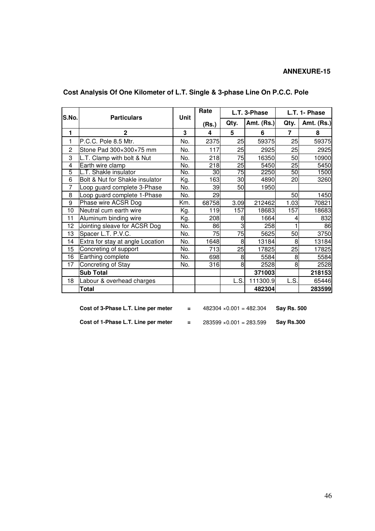| S.No.          | <b>Particulars</b>               | Unit | Rate  | L.T. 3-Phase |                   |                | L.T. 1- Phase     |  |
|----------------|----------------------------------|------|-------|--------------|-------------------|----------------|-------------------|--|
|                |                                  |      | (Rs.) | Qty.         | <b>Amt. (Rs.)</b> | Qty.           | <b>Amt. (Rs.)</b> |  |
| 1              | $\mathbf{2}$                     | 3    | 4     | 5            | 6                 | $\overline{7}$ | 8                 |  |
| 1              | P.C.C. Pole 8.5 Mtr.             | No.  | 2375  | 25           | 59375             | 25             | 59375             |  |
| $\overline{2}$ | Stone Pad 300×300×75 mm          | No.  | 117   | 25           | 2925              | 25             | 2925              |  |
| 3              | L.T. Clamp with bolt & Nut       | No.  | 218   | 75           | 16350             | 50             | 10900             |  |
| 4              | Earth wire clamp                 | No.  | 218   | 25           | 5450              | 25             | 5450              |  |
| 5              | L.T. Shakle insulator            | No.  | 30    | 75           | 2250              | 50             | 1500              |  |
| 6              | Bolt & Nut for Shakle insulator  | Kg.  | 163   | 30           | 4890              | 20             | 3260              |  |
| $\overline{7}$ | Loop guard complete 3-Phase      | No.  | 39    | 50           | 1950              |                |                   |  |
| 8              | Loop guard complete 1-Phase      | No.  | 29    |              |                   | 50             | 1450              |  |
| 9              | Phase wire ACSR Dog              | Km.  | 68758 | 3.09         | 212462            | 1.03           | 70821             |  |
| 10             | Neutral cum earth wire           | Kg.  | 119   | 157          | 18683             | 157            | 18683             |  |
| 11             | Aluminum binding wire            | Kg.  | 208   | 8            | 1664              | 4              | 832               |  |
| 12             | Jointing sleave for ACSR Dog     | No.  | 86    | 3            | 258               |                | 86                |  |
| 13             | Spacer L.T. P.V.C.               | No.  | 75    | 75           | 5625              | 50             | 3750              |  |
| 14             | Extra for stay at angle Location | No.  | 1648  | 8            | 13184             | 8              | 13184             |  |
| 15             | Concreting of support            | No.  | 713   | 25           | 17825             | 25             | 17825             |  |
| 16             | Earthing complete                | No.  | 698   | 8            | 5584              | 8              | 5584              |  |
| 17             | Concreting of Stay               | No.  | 316   | 8            | 2528              | 8              | 2528              |  |
|                | <b>Sub Total</b>                 |      |       |              | 371003            |                | 218153            |  |
| 18             | Labour & overhead charges        |      |       | L.S.         | 111300.9          | L.S.           | 65446             |  |
|                | <b>Total</b>                     |      |       |              | 482304            |                | 283599            |  |

## **Cost Analysis Of One Kilometer of L.T. Single & 3-phase Line On P.C.C. Pole**

| Cost of 3-Phase L.T. Line per meter | Ξ.  | $482304 \times 0.001 = 482.304$ | <b>Sav Rs. 500</b> |
|-------------------------------------|-----|---------------------------------|--------------------|
| Cost of 1-Phase L.T. Line per meter | $=$ | $283599 \times 0.001 = 283.599$ | <b>Sav Rs.300</b>  |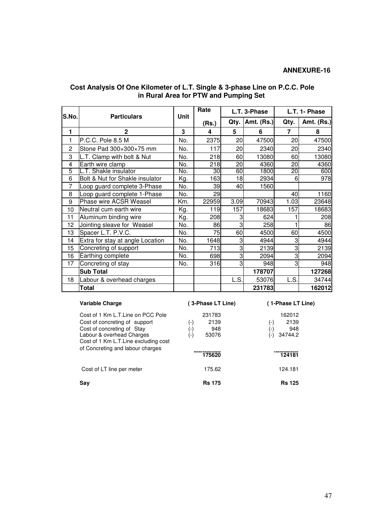| lS.No.         | <b>Particulars</b>               | Unit | Rate  | L.T. 3-Phase   |                   |                | L.T. 1- Phase     |  |
|----------------|----------------------------------|------|-------|----------------|-------------------|----------------|-------------------|--|
|                |                                  |      | (Rs.) | Qty.           | <b>Amt. (Rs.)</b> | Qty.           | <b>Amt. (Rs.)</b> |  |
| 1              | $\mathbf{2}$                     | 3    | 4     | 5              | 6                 | $\overline{7}$ | 8                 |  |
| 1              | P.C.C. Pole 8.5 M                | No.  | 2375  | 20             | 47500             | 20             | 47500             |  |
| $\overline{2}$ | Stone Pad 300×300×75 mm          | No.  | 117   | 20             | 2340              | 20             | 2340              |  |
| 3              | L.T. Clamp with bolt & Nut       | No.  | 218   | 60             | 13080             | 60             | 13080             |  |
| 4              | Earth wire clamp                 | No.  | 218   | 20             | 4360              | 20             | 4360              |  |
| 5              | L.T. Shakle insulator            | No.  | 30    | 60             | 1800              | 20             | 600               |  |
| 6              | Bolt & Nut for Shakle insulator  | Kg.  | 163   | 18             | 2934              | 6              | 978               |  |
| $\overline{7}$ | Loop guard complete 3-Phase      | No.  | 39    | 40             | 1560              |                |                   |  |
| 8              | Loop guard complete 1-Phase      | No.  | 29    |                |                   | 40             | 1160              |  |
| 9              | Phase wire ACSR Weasel           | Km.  | 22959 | 3.09           | 70943             | 1.03           | 23648             |  |
| 10             | Neutral cum earth wire           | Kg.  | 119   | 157            | 18683             | 157            | 18683             |  |
| 11             | Aluminum binding wire            | Kg.  | 208   | 3              | 624               |                | 208               |  |
| 12             | Jointing sleave for Weasel       | No.  | 86    | 3              | 258               |                | 86                |  |
| 13             | Spacer L.T. P.V.C.               | No.  | 75    | 60             | 4500              | 60             | 4500              |  |
| 14             | Extra for stay at angle Location | No.  | 1648  | 3              | 4944              | 3              | 4944              |  |
| 15             | Concreting of support            | No.  | 713   | 3              | 2139              | 3              | 2139              |  |
| 16             | Earthing complete                | No.  | 698   | 3              | 2094              | 3              | 2094              |  |
| 17             | Concreting of stay               | No.  | 316   | $\overline{3}$ | 948               | 3              | 948               |  |
|                | <b>Sub Total</b>                 |      |       |                | 178707            |                | 127268            |  |
| 18             | Labour & overhead charges        |      |       | L.S.           | 53076             | L.S.           | 34744             |  |
|                | Total                            |      |       |                | 231783            |                | 162012            |  |

#### **Cost Analysis Of One Kilometer of L.T. Single & 3-phase Line on P.C.C. Pole in Rural Area for PTW and Pumping Set**

| Variable Charge                                                                                                                                                        | (3-Phase LT Line)                                   | (1-Phase LT Line)                                    |
|------------------------------------------------------------------------------------------------------------------------------------------------------------------------|-----------------------------------------------------|------------------------------------------------------|
| Cost of 1 Km L.T.Line on PCC Pole<br>Cost of concreting of support<br>Cost of concreting of Stay<br>Labour & overhead Charges<br>Cost of 1 Km L.T. Line excluding cost | 231783<br>2139<br>(-)<br>948<br>(-)<br>53076<br>(-) | 162012<br>2139<br>(-)<br>948<br>(-)<br>34744.2<br>Ξ. |
| of Concreting and labour charges                                                                                                                                       | 175620                                              | 124181                                               |
| Cost of LT line per meter                                                                                                                                              | 175.62                                              | 124.181                                              |
| Sav                                                                                                                                                                    | <b>Rs 175</b>                                       | <b>Rs</b> 125                                        |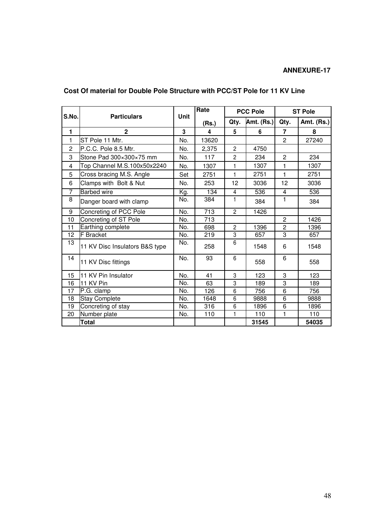| S.No.          | <b>Particulars</b>             | Unit | Rate  | <b>PCC Pole</b> |            | <b>ST Pole</b> |                   |
|----------------|--------------------------------|------|-------|-----------------|------------|----------------|-------------------|
|                |                                |      | (Rs.) | Qty.            | Amt. (Rs.) | Qty.           | <b>Amt. (Rs.)</b> |
| 1              | $\mathbf{2}$                   | 3    | 4     | 5               | 6          | 7              | 8                 |
| 1              | ST Pole 11 Mtr.                | No.  | 13620 |                 |            | $\overline{2}$ | 27240             |
| 2              | P.C.C. Pole 8.5 Mtr.           | No.  | 2,375 | 2               | 4750       |                |                   |
| 3              | Stone Pad 300×300×75 mm        | No.  | 117   | $\overline{c}$  | 234        | $\overline{c}$ | 234               |
| 4              | Top Channel M.S.100x50x2240    | No.  | 1307  | 1               | 1307       | $\mathbf{1}$   | 1307              |
| 5              | Cross bracing M.S. Angle       | Set  | 2751  | 1               | 2751       | $\mathbf{1}$   | 2751              |
| 6              | Clamps with Bolt & Nut         | No.  | 253   | 12              | 3036       | 12             | 3036              |
| $\overline{7}$ | <b>Barbed wire</b>             | Kg.  | 134   | 4               | 536        | 4              | 536               |
| 8              | Danger board with clamp        | No.  | 384   | 1               | 384        | 1.             | 384               |
| 9              | Concreting of PCC Pole         | No.  | 713   | $\overline{2}$  | 1426       |                |                   |
| 10             | Concreting of ST Pole          | No.  | 713   |                 |            | $\mathbf{2}$   | 1426              |
| 11             | Earthing complete              | No.  | 698   | $\overline{c}$  | 1396       | $\overline{c}$ | 1396              |
| 12             | <b>F</b> Bracket               | No.  | 219   | 3               | 657        | 3              | 657               |
| 13             | 11 KV Disc Insulators B&S type | No.  | 258   | 6               | 1548       | 6              | 1548              |
| 14             | 11 KV Disc fittings            | No.  | 93    | 6               | 558        | 6              | 558               |
| 15             | 11 KV Pin Insulator            | No.  | 41    | 3               | 123        | 3              | 123               |
| 16             | 11 KV Pin                      | No.  | 63    | 3               | 189        | 3              | 189               |
| 17             | P.G. clamp                     | No.  | 126   | 6               | 756        | 6              | 756               |
| 18             | <b>Stay Complete</b>           | No.  | 1648  | 6               | 9888       | 6              | 9888              |
| 19             | Concreting of stay             | No.  | 316   | 6               | 1896       | 6              | 1896              |
| 20             | Number plate                   | No.  | 110   | 1               | 110        | 1              | 110               |
|                | <b>Total</b>                   |      |       |                 | 31545      |                | 54035             |

## **Cost Of material for Double Pole Structure with PCC/ST Pole for 11 KV Line**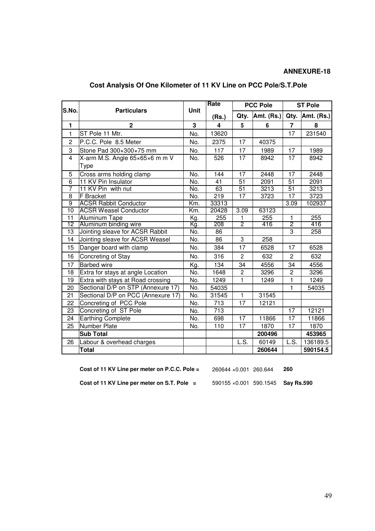| S.No.           | <b>Particulars</b>                 | Unit        | Rate             |                 | <b>PCC Pole</b> |                 | <b>ST Pole</b> |  |  |
|-----------------|------------------------------------|-------------|------------------|-----------------|-----------------|-----------------|----------------|--|--|
|                 |                                    |             | (Rs.)            | Qty.            | Amt. (Rs.)      | Qty.            | Amt. (Rs.)     |  |  |
| $\mathbf{1}$    | $\mathbf{2}$                       | $\mathbf 3$ | 4                | 5               | 6               | $\overline{7}$  | 8              |  |  |
| $\mathbf{1}$    | ST Pole 11 Mtr.                    | No.         | 13620            |                 |                 | 17              | 231540         |  |  |
| $\overline{c}$  | P.C.C. Pole 8.5 Meter              | No.         | 2375             | 17              | 40375           |                 |                |  |  |
| 3               | Stone Pad 300×300×75 mm            | No.         | 117              | 17              | 1989            | 17              | 1989           |  |  |
| $\overline{4}$  | X-arm M.S. Angle 65×65×6 m m V     | No.         | 526              | 17              | 8942            | 17              | 8942           |  |  |
|                 | Type                               |             |                  |                 |                 |                 |                |  |  |
| $\overline{5}$  | Cross arms holding clamp           | No.         | 144              | $\overline{17}$ | 2448            | $\overline{17}$ | 2448           |  |  |
| $\overline{6}$  | 11 KV Pin Insulator                | No.         | 41               | 51              | 2091            | $\overline{51}$ | 2091           |  |  |
| $\overline{7}$  | 11 KV Pin with nut                 | No.         | 63               | $\overline{51}$ | 3213            | $\overline{51}$ | 3213           |  |  |
| $\overline{8}$  | F Bracket                          | No.         | 219              | $\overline{17}$ | 3723            | 17              | 3723           |  |  |
| $\overline{9}$  | <b>ACSR Rabbit Conductor</b>       | Km.         | 33313            |                 |                 | 3.09            | 102937         |  |  |
| 10              | <b>ACSR Weasel Conductor</b>       | Km.         | 20428            | 3.09            | 63123           |                 |                |  |  |
| $\overline{11}$ | <b>Aluminum Tape</b>               | Kg.         | 255              | 1               | 255             | 1               | 255            |  |  |
| 12              | Aluminum binding wire              | Kg.         | 208              | $\overline{2}$  | 416             | 2               | 416            |  |  |
| 13              | Jointing sleave for ACSR Rabbit    | No.         | 86               |                 |                 | 3               | 258            |  |  |
| 14              | Jointing sleave for ACSR Weasel    | No.         | 86               | 3               | 258             |                 |                |  |  |
| 15              | Danger board with clamp            | No.         | 384              | 17              | 6528            | 17              | 6528           |  |  |
| 16              | Concreting of Stay                 | No.         | 316              | $\overline{c}$  | 632             | $\overline{c}$  | 632            |  |  |
| 17              | <b>Barbed wire</b>                 | Kg.         | 134              | 34              | 4556            | 34              | 4556           |  |  |
| 18              | Extra for stays at angle Location  | No.         | 1648             | $\overline{2}$  | 3296            | $\overline{c}$  | 3296           |  |  |
| 19              | Extra with stays at Road crossing  | No.         | 1249             | 1               | 1249            | $\mathbf{1}$    | 1249           |  |  |
| 20              | Sectional D/P on STP (Annexure 17) | No.         | 54035            |                 |                 | 1               | 54035          |  |  |
| 21              | Sectional D/P on PCC (Annexure 17) | No.         | 31545            | 1               | 31545           |                 |                |  |  |
| 22              | Concreting of PCC Pole             | No.         | $\overline{713}$ | $\overline{17}$ | 12121           |                 |                |  |  |
| 23              | Concreting of ST Pole              | No.         | 713              |                 |                 | 17              | 12121          |  |  |
| 24              | <b>Earthing Complete</b>           | No.         | 698              | 17              | 11866           | 17              | 11866          |  |  |
| 25              | Number Plate                       | No.         | 110              | 17              | 1870            | $\overline{17}$ | 1870           |  |  |
|                 | <b>Sub Total</b>                   |             |                  |                 | 200496          |                 | 453965         |  |  |
| 26              | Labour & overhead charges          |             |                  | L.S.            | 60149           | L.S.            | 136189.5       |  |  |
|                 | <b>Total</b>                       |             |                  |                 | 260644          |                 | 590154.5       |  |  |

## **Cost Analysis Of One Kilometer of 11 KV Line on PCC Pole/S.T.Pole**

**Cost of 11 KV Line per meter on P.C.C. Pole =** 260644 ×0.001 260.644 **260**

**Cost of 11 KV Line per meter on S.T. Pole =** 590155 ×0.001 590.1545 **Say Rs.590**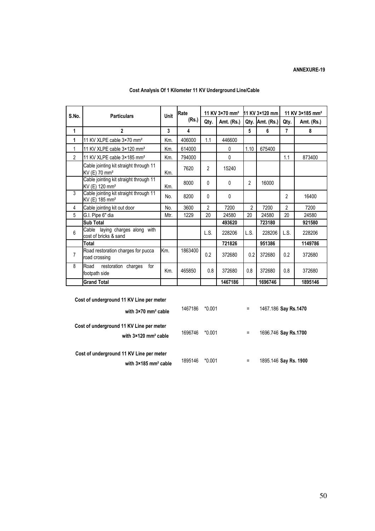| S.No.          | <b>Particulars</b>                                                   | <b>Unit</b> | Rate    | 11 KV 3×70 mm <sup>2</sup> |              | 11 KV 3×120 mm |            | 11 KV 3×185 mm <sup>2</sup> |            |
|----------------|----------------------------------------------------------------------|-------------|---------|----------------------------|--------------|----------------|------------|-----------------------------|------------|
|                |                                                                      |             | (Rs.)   | Qty.                       | Amt. (Rs.)   | Qty.           | Amt. (Rs.) | Qty.                        | Amt. (Rs.) |
| 1              | $\overline{2}$                                                       | 3           | 4       |                            |              | 5              | 6          | 7                           | 8          |
| 1              | 11 KV XLPE cable 3×70 mm <sup>2</sup>                                | Km.         | 406000  | 1.1                        | 446600       |                |            |                             |            |
| 1              | 11 KV XLPE cable 3×120 mm <sup>2</sup>                               | Km.         | 614000  |                            | 0            | 1.10           | 675400     |                             |            |
| $\overline{2}$ | 11 KV XLPE cable 3×185 mm <sup>2</sup>                               | Km.         | 794000  |                            | $\mathbf{0}$ |                |            | 1.1                         | 873400     |
|                | Cable jointing kit straight through 11<br>KV (E) 70 mm <sup>2</sup>  | Km.         | 7620    | $\overline{2}$             | 15240        |                |            |                             |            |
|                | Cable jointing kit straight through 11<br>KV (E) 120 mm <sup>2</sup> | Km.         | 8000    | $\Omega$                   | 0            | 2              | 16000      |                             |            |
| 3              | Cable jointing kit straight through 11<br>KV (E) 185 mm <sup>2</sup> | No.         | 8200    | $\Omega$                   | 0            |                |            | 2                           | 16400      |
| 4              | Cable jointing kit out door                                          | No.         | 3600    | $\overline{2}$             | 7200         | 2              | 7200       | $\overline{2}$              | 7200       |
| 5              | G.I. Pipe 6" dia                                                     | Mtr.        | 1229    | 20                         | 24580        | 20             | 24580      | 20                          | 24580      |
|                | <b>Sub Total</b>                                                     |             |         |                            | 493620       |                | 723180     |                             | 921580     |
| 6              | Cable laying charges along with<br>cost of bricks & sand             |             |         | L.S.                       | 228206       | L.S.           | 228206     | L.S.                        | 228206     |
|                | <b>Total</b>                                                         |             |         |                            | 721826       |                | 951386     |                             | 1149786    |
| 7              | Road restoration charges for pucca<br>road crossing                  | Km.         | 1863400 | 0.2                        | 372680       | 0.2            | 372680     | 0.2                         | 372680     |
| 8              | Road<br>restoration charges<br>for<br>footpath side                  | Km.         | 465850  | 0.8                        | 372680       | 0.8            | 372680     | 0.8                         | 372680     |
|                | <b>Grand Total</b>                                                   |             |         |                            | 1467186      |                | 1696746    |                             | 1895146    |

## Cost Analysis Of 1 Kilometer 11 KV Underground Line/Cable

| Cost of underground 11 KV Line per meter                                            |         |          |     |                       |
|-------------------------------------------------------------------------------------|---------|----------|-----|-----------------------|
| with $3\times70$ mm <sup>2</sup> cable                                              | 1467186 | $*0.001$ | $=$ | 1467.186 Say Rs.1470  |
| Cost of underground 11 KV Line per meter<br>with $3\times120$ mm <sup>2</sup> cable | 1696746 | $*0.001$ | Ξ   | 1696.746 Say Rs.1700  |
| Cost of underground 11 KV Line per meter                                            |         |          |     |                       |
| with $3 \times 185$ mm <sup>2</sup> cable                                           | 1895146 | $*0.001$ | =   | 1895.146 Say Rs. 1900 |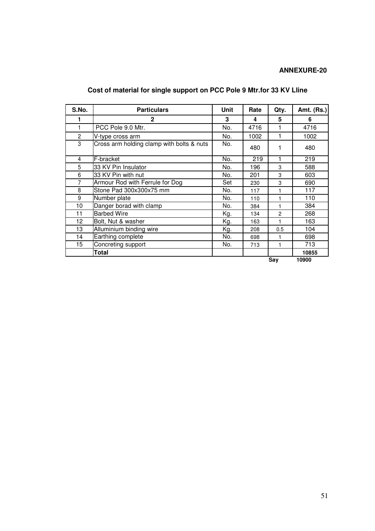| S.No.          | <b>Particulars</b>                        | Unit | Rate | Qty.           | Amt. (Rs.) |
|----------------|-------------------------------------------|------|------|----------------|------------|
|                | $\mathbf{c}$                              | 3    | 4    | 5              | 6          |
| 1              | PCC Pole 9.0 Mtr.                         | No.  | 4716 |                | 4716       |
| $\overline{2}$ | V-type cross arm                          | No.  | 1002 |                | 1002       |
| 3              | Cross arm holding clamp with bolts & nuts | No.  | 480  |                | 480        |
| 4              | F-bracket                                 | No.  | 219  |                | 219        |
| 5              | 33 KV Pin Insulator                       | No.  | 196  | 3              | 588        |
| 6              | 33 KV Pin with nut                        | No.  | 201  | 3              | 603        |
| 7              | Armour Rod with Ferrule for Dog           | Set  | 230  | 3              | 690        |
| 8              | Stone Pad 300x300x75 mm                   | No.  | 117  |                | 117        |
| 9              | Number plate                              | No.  | 110  | 1              | 110        |
| 10             | Danger borad with clamp                   | No.  | 384  |                | 384        |
| 11             | <b>Barbed Wire</b>                        | Kg.  | 134  | $\overline{c}$ | 268        |
| 12             | Bolt, Nut & washer                        | Kg.  | 163  |                | 163        |
| 13             | Alluminium binding wire                   | Kg.  | 208  | 0.5            | 104        |
| 14             | Earthing complete                         | No.  | 698  | 1              | 698        |
| 15             | Concreting support                        | No.  | 713  | 1              | 713        |
|                | <b>Total</b>                              |      |      |                | 10855      |
|                |                                           |      |      | Say            | 10900      |

## **Cost of material for single support on PCC Pole 9 Mtr.for 33 KV Lline**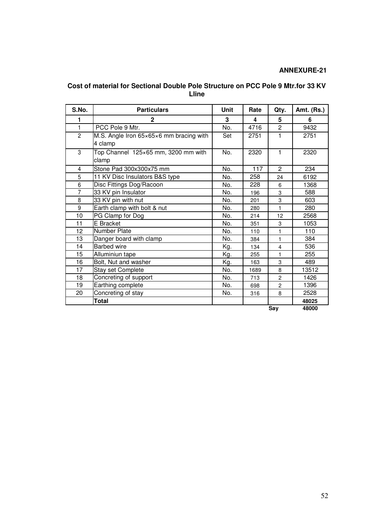| Cost of material for Sectional Double Pole Structure on PCC Pole 9 Mtr.for 33 KV |
|----------------------------------------------------------------------------------|
| Lline                                                                            |

| S.No.          | <b>Particulars</b>                      | Unit | Rate | Qty.           | Amt. (Rs.) |
|----------------|-----------------------------------------|------|------|----------------|------------|
| 1              | $\mathbf{2}$                            | 3    | 4    | 5              | 6          |
| $\mathbf{1}$   | PCC Pole 9 Mtr.                         | No.  | 4716 | $\overline{2}$ | 9432       |
| $\overline{2}$ | M.S. Angle Iron 65×65×6 mm bracing with | Set  | 2751 | 1              | 2751       |
|                | 4 clamp                                 |      |      |                |            |
| 3              | Top Channel 125×65 mm, 3200 mm with     | No.  | 2320 | 1.             | 2320       |
|                | clamp                                   |      |      |                |            |
| 4              | Stone Pad 300x300x75 mm                 | No.  | 117  | $\overline{2}$ | 234        |
| 5              | 11 KV Disc Insulators B&S type          | No.  | 258  | 24             | 6192       |
| 6              | Disc Fittings Dog/Racoon                | No.  | 228  | 6              | 1368       |
| $\overline{7}$ | 33 KV pin Insulator                     | No.  | 196  | 3              | 588        |
| 8              | 33 KV pin with nut                      | No.  | 201  | 3              | 603        |
| 9              | Earth clamp with bolt & nut             | No.  | 280  | 1              | 280        |
| 10             | PG Clamp for Dog                        | No.  | 214  | 12             | 2568       |
| 11             | E Bracket                               | No.  | 351  | 3              | 1053       |
| 12             | <b>Number Plate</b>                     | No.  | 110  | 1              | 110        |
| 13             | Danger board with clamp                 | No.  | 384  | 1              | 384        |
| 14             | <b>Barbed wire</b>                      | Kg.  | 134  | $\overline{4}$ | 536        |
| 15             | Alluminiun tape                         | Kg.  | 255  | 1              | 255        |
| 16             | Bolt, Nut and washer                    | Kg.  | 163  | 3              | 489        |
| 17             | Stay set Complete                       | No.  | 1689 | 8              | 13512      |
| 18             | Concreting of support                   | No.  | 713  | $\overline{c}$ | 1426       |
| 19             | Earthing complete                       | No.  | 698  | 2              | 1396       |
| 20             | Concreting of stay                      | No.  | 316  | 8              | 2528       |
|                | Total                                   |      |      |                | 48025      |
|                |                                         |      |      | Say            | 48000      |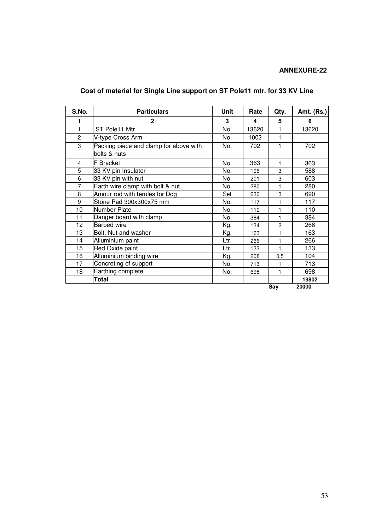## **Cost of material for Single Line support on ST Pole11 mtr. for 33 KV Line**

| S.No.          | <b>Particulars</b>                                     | <b>Unit</b> | Rate  | Qty.           | <b>Amt. (Rs.)</b> |
|----------------|--------------------------------------------------------|-------------|-------|----------------|-------------------|
| 1              | $\mathbf{2}$                                           | 3           | 4     | 5              | 6                 |
| 1              | ST Pole11 Mtr.                                         | No.         | 13620 | 1              | 13620             |
| $\overline{c}$ | V-type Cross Arm                                       | No.         | 1002  | 1              |                   |
| 3              | Packing piece and clamp for above with<br>bolts & nuts | No.         | 702   | 1              | 702               |
| 4              | <b>F</b> Bracket                                       | No.         | 363   | 1              | 363               |
| 5              | 33 KV pin Insulator                                    | No.         | 196   | 3              | 588               |
| 6              | 33 KV pin with nut                                     | No.         | 201   | 3              | 603               |
| $\overline{7}$ | Earth wire clamp with bolt & nut                       | No.         | 280   | 1              | 280               |
| 8              | Amour rod with ferules for Dog                         | Set         | 230   | 3              | 690               |
| 9              | Stone Pad 300x300x75 mm                                | No.         | 117   | 1              | 117               |
| 10             | Number Plate                                           | No.         | 110   | 1              | 110               |
| 11             | Danger board with clamp                                | No.         | 384   | 1              | 384               |
| 12             | <b>Barbed wire</b>                                     | Kg.         | 134   | $\overline{c}$ | 268               |
| 13             | Bolt, Nut and washer                                   | Kg.         | 163   | 1              | 163               |
| 14             | Alluminium paint                                       | Ltr.        | 266   | 1              | 266               |
| 15             | Red Oxide paint                                        | Ltr.        | 133   | 1              | 133               |
| 16             | Alluminium binding wire                                | Kg.         | 208   | 0.5            | 104               |
| 17             | Concreting of support                                  | No.         | 713   | 1              | 713               |
| 18             | Earthing complete                                      | No.         | 698   | 1              | 698               |
|                | Total                                                  |             |       |                | 19802             |
|                |                                                        |             |       | Say            | 20000             |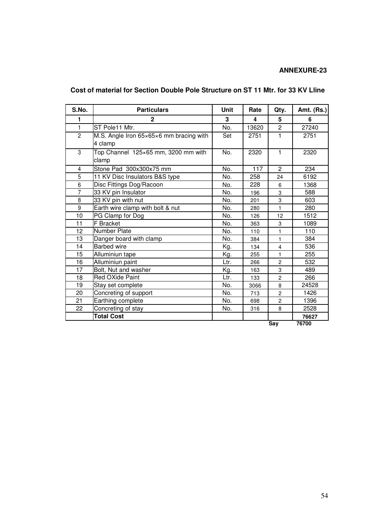## **Cost of material for Section Double Pole Structure on ST 11 Mtr. for 33 KV Lline**

| S.No.          | <b>Particulars</b>                                 | <b>Unit</b> | Rate  | Qty.                    | Amt. (Rs.) |
|----------------|----------------------------------------------------|-------------|-------|-------------------------|------------|
| 1              | $\mathbf{2}$                                       | 3           | 4     | 5                       | 6          |
| $\mathbf{1}$   | ST Pole11 Mtr.                                     | No.         | 13620 | $\overline{2}$          | 27240      |
| $\overline{2}$ | M.S. Angle Iron 65×65×6 mm bracing with<br>4 clamp | Set         | 2751  | 1                       | 2751       |
| 3              | Top Channel 125×65 mm, 3200 mm with<br>clamp       | No.         | 2320  | $\mathbf{1}$            | 2320       |
| 4              | Stone Pad 300x300x75 mm                            | No.         | 117   | $\overline{2}$          | 234        |
| 5              | 11 KV Disc Insulators B&S type                     | No.         | 258   | 24                      | 6192       |
| 6              | Disc Fittings Dog/Racoon                           | No.         | 228   | 6                       | 1368       |
| $\overline{7}$ | 33 KV pin Insulator                                | No.         | 196   | 3                       | 588        |
| 8              | 33 KV pin with nut                                 | No.         | 201   | 3                       | 603        |
| 9              | Earth wire clamp with bolt & nut                   | No.         | 280   | 1                       | 280        |
| 10             | PG Clamp for Dog                                   | No.         | 126   | 12                      | 1512       |
| 11             | F Bracket                                          | No.         | 363   | 3                       | 1089       |
| 12             | <b>Number Plate</b>                                | No.         | 110   | 1                       | 110        |
| 13             | Danger board with clamp                            | No.         | 384   | 1                       | 384        |
| 14             | <b>Barbed</b> wire                                 | Kg.         | 134   | $\overline{\mathbf{4}}$ | 536        |
| 15             | Alluminiun tape                                    | Kg.         | 255   | 1                       | 255        |
| 16             | Alluminiun paint                                   | Ltr.        | 266   | $\overline{c}$          | 532        |
| 17             | Bolt, Nut and washer                               | Kg.         | 163   | 3                       | 489        |
| 18             | <b>Red OXide Paint</b>                             | Ltr.        | 133   | $\overline{c}$          | 266        |
| 19             | Stay set complete                                  | No.         | 3066  | 8                       | 24528      |
| 20             | Concreting of support                              | No.         | 713   | $\overline{c}$          | 1426       |
| 21             | Earthing complete                                  | No.         | 698   | $\overline{c}$          | 1396       |
| 22             | Concreting of stay                                 | No.         | 316   | 8                       | 2528       |
|                | <b>Total Cost</b>                                  |             |       |                         | 76627      |
|                |                                                    |             |       | <b>Say</b>              | 76700      |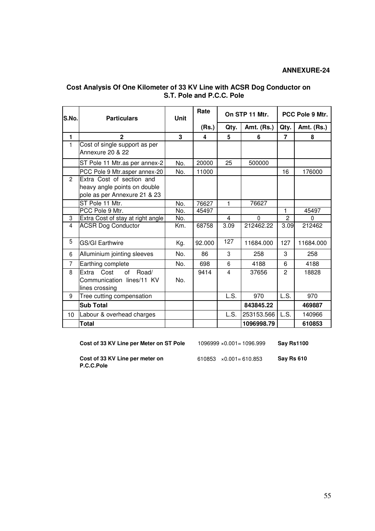| S.No.          | <b>Particulars</b>                                                                        | <b>Unit</b> | Rate   | On STP 11 Mtr.          |            | PCC Pole 9 Mtr. |            |
|----------------|-------------------------------------------------------------------------------------------|-------------|--------|-------------------------|------------|-----------------|------------|
|                |                                                                                           |             | (Rs.)  | Qty.                    | Amt. (Rs.) | Qty.            | Amt. (Rs.) |
| $\mathbf{1}$   | $\mathbf{2}$                                                                              | 3           | 4      | 5                       | 6          | $\overline{7}$  | 8          |
| $\mathbf{1}$   | Cost of single support as per<br>Annexure 20 & 22                                         |             |        |                         |            |                 |            |
|                | ST Pole 11 Mtr. as per annex-2                                                            | No.         | 20000  | 25                      | 500000     |                 |            |
|                | PCC Pole 9 Mtr.asper annex-20                                                             | No.         | 11000  |                         |            | 16              | 176000     |
| $\overline{2}$ | Extra Cost of section and<br>heavy angle points on double<br>pole as per Annexure 21 & 23 |             |        |                         |            |                 |            |
|                | ST Pole 11 Mtr.                                                                           | No.         | 76627  | 1                       | 76627      |                 |            |
|                | PCC Pole 9 Mtr.                                                                           | No.         | 45497  |                         |            | 1               | 45497      |
| 3              | Extra Cost of stay at right angle                                                         | No.         |        | $\overline{4}$          | $\Omega$   | $\mathbf{2}$    | $\Omega$   |
| $\overline{4}$ | <b>ACSR Dog Conductor</b>                                                                 | Km.         | 68758  | 3.09                    | 212462.22  | 3.09            | 212462     |
| 5              | <b>GS/GI Earthwire</b>                                                                    | Kg.         | 92.000 | 127                     | 11684.000  | 127             | 11684.000  |
| 6              | Alluminium jointing sleeves                                                               | No.         | 86     | 3                       | 258        | 3               | 258        |
| $\overline{7}$ | Earthing complete                                                                         | No.         | 698    | 6                       | 4188       | 6               | 4188       |
| 8              | Cost<br>Extra<br>Road/<br>of<br>Communication lines/11 KV<br>lines crossing               | No.         | 9414   | $\overline{\mathbf{4}}$ | 37656      | $\mathbf{2}$    | 18828      |
| 9              | Tree cutting compensation                                                                 |             |        | L.S.                    | 970        | L.S.            | 970        |
|                | <b>Sub Total</b>                                                                          |             |        |                         | 843845.22  |                 | 469887     |
| 10             | Labour & overhead charges                                                                 |             |        | L.S.                    | 253153.566 | L.S.            | 140966     |
|                | <b>Total</b>                                                                              |             |        |                         | 1096998.79 |                 | 610853     |

#### **Cost Analysis Of One Kilometer of 33 KV Line with ACSR Dog Conductor on S.T. Pole and P.C.C. Pole**

**Cost of 33 KV Line per Meter on ST Pole** 1096999 ×0.001= 1096.999 **Say Rs1100** 

**Cost of 33 KV Line per meter on** 610853 ×0.001= 610.853 **Say Rs 610 P.C.C.Pole** 

55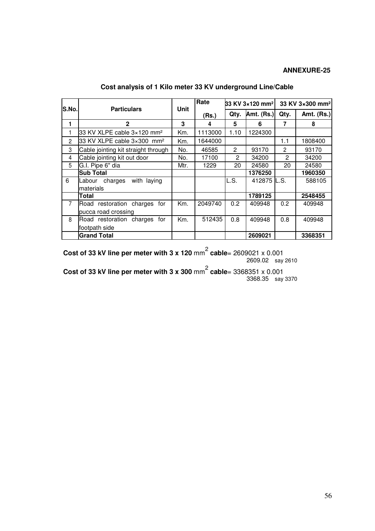| S.No.          | <b>Particulars</b>                     | Unit | Rate    | 33 KV 3×120 mm <sup>2</sup> 33 KV 3×300 mm <sup>2</sup> |              |                |                   |
|----------------|----------------------------------------|------|---------|---------------------------------------------------------|--------------|----------------|-------------------|
|                |                                        |      | (Rs.)   | Qty.                                                    | Amt. $(Rs.)$ | Qty.           | <b>Amt. (Rs.)</b> |
| 1              | $\mathbf{2}$                           | 3    | 4       | 5                                                       | 6            | 7              | 8                 |
|                | 33 KV XLPE cable 3×120 mm <sup>2</sup> | Km.  | 1113000 | 1.10                                                    | 1224300      |                |                   |
| $\overline{2}$ | 33 KV XLPE cable 3×300 mm <sup>2</sup> | Km.  | 1644000 |                                                         |              | 1.1            | 1808400           |
| 3              | Cable jointing kit straight through    | No.  | 46585   | $\overline{2}$                                          | 93170        | $\overline{2}$ | 93170             |
| 4              | Cable jointing kit out door            | No.  | 17100   | 2                                                       | 34200        | 2              | 34200             |
| 5              | G.I. Pipe 6" dia                       | Mtr. | 1229    | 20                                                      | 24580        | 20             | 24580             |
|                | <b>Sub Total</b>                       |      |         |                                                         | 1376250      |                | 1960350           |
| 6              | charges<br>with laying<br>Labour       |      |         | L.S.                                                    | 412875 IL.S. |                | 588105            |
|                | Imaterials                             |      |         |                                                         |              |                |                   |
|                | Total                                  |      |         |                                                         | 1789125      |                | 2548455           |
| $\overline{7}$ | Road restoration charges for           | Km.  | 2049740 | 0.2                                                     | 409948       | 0.2            | 409948            |
|                | pucca road crossing                    |      |         |                                                         |              |                |                   |
| 8              | Road restoration charges<br>for        | Km.  | 512435  | 0.8                                                     | 409948       | 0.8            | 409948            |
|                | footpath side                          |      |         |                                                         |              |                |                   |
|                | <b>Grand Total</b>                     |      |         |                                                         | 2609021      |                | 3368351           |

**Cost analysis of 1 Kilo meter 33 KV underground Line/Cable** 

**Cost of 33 kV line per meter with 3 x 120** mm 2  **cable**= 2609021 x 0.001 2609.02 say 2610

**Cost of 33 kV line per meter with 3 x 300** mm 2  **cable**= 3368351 x 0.001 3368.35 say 3370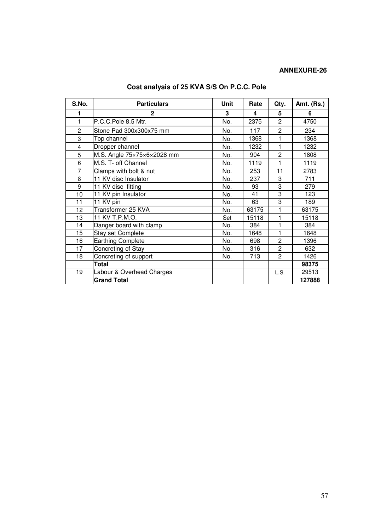| S.No.          | <b>Particulars</b>              | Unit | Rate  | Qty.           | <b>Amt. (Rs.)</b> |
|----------------|---------------------------------|------|-------|----------------|-------------------|
|                | $\mathbf{2}$                    | 3    | 4     | 5              | 6                 |
| 1              | P.C.C.Pole 8.5 Mtr.             | No.  | 2375  | $\overline{2}$ | 4750              |
| $\overline{c}$ | Stone Pad 300x300x75 mm         | No.  | 117   | $\overline{c}$ | 234               |
| 3              | Top channel                     | No.  | 1368  | 1              | 1368              |
| 4              | Dropper channel                 | No.  | 1232  | 1              | 1232              |
| 5              | M.S. Angle 75×75×6×2028 mm      | No.  | 904   | $\overline{2}$ | 1808              |
| 6              | M.S. T- off Channel             | No.  | 1119  | 1              | 1119              |
| 7              | Clamps with bolt & nut          | No.  | 253   | 11             | 2783              |
| 8              | 11 KV disc Insulator            | No.  | 237   | 3              | 711               |
| 9              | $\overline{11}$ KV disc fitting | No.  | 93    | 3              | 279               |
| 10             | 11 KV pin Insulator             | No.  | 41    | 3              | 123               |
| 11             | 11 KV pin                       | No.  | 63    | 3              | 189               |
| 12             | Transformer 25 KVA              | No.  | 63175 | 1              | 63175             |
| 13             | 11 KV T.P.M.O.                  | Set  | 15118 | 1              | 15118             |
| 14             | Danger board with clamp         | No.  | 384   | 1              | 384               |
| 15             | Stay set Complete               | No.  | 1648  | 1              | 1648              |
| 16             | <b>Earthing Complete</b>        | No.  | 698   | $\overline{c}$ | 1396              |
| 17             | Concreting of Stay              | No.  | 316   | $\overline{2}$ | 632               |
| 18             | Concreting of support           | No.  | 713   | $\overline{2}$ | 1426              |
|                | Total                           |      |       |                | 98375             |
| 19             | Labour & Overhead Charges       |      |       | L.S.           | 29513             |
|                | <b>Grand Total</b>              |      |       |                | 127888            |

## **Cost analysis of 25 KVA S/S On P.C.C. Pole**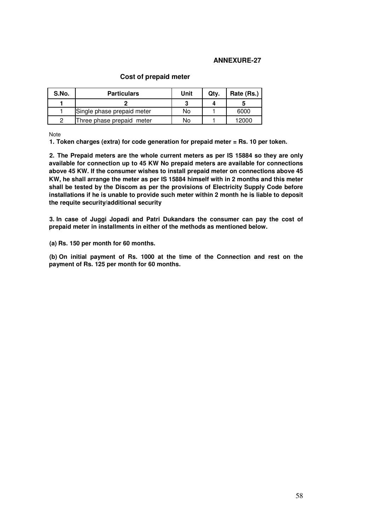| S.No. | <b>Particulars</b>         | Unit | Qtv. | Rate (Rs.) |
|-------|----------------------------|------|------|------------|
|       |                            |      |      |            |
|       | Single phase prepaid meter | No   |      | 6000       |
|       | Three phase prepaid meter  | No   |      | 12000      |

#### **Cost of prepaid meter**

Note

**1. Token charges (extra) for code generation for prepaid meter = Rs. 10 per token.** 

**2. The Prepaid meters are the whole current meters as per IS 15884 so they are only available for connection up to 45 KW No prepaid meters are available for connections above 45 KW. If the consumer wishes to install prepaid meter on connections above 45 KW, he shall arrange the meter as per IS 15884 himself with in 2 months and this meter shall be tested by the Discom as per the provisions of Electricity Supply Code before installations if he is unable to provide such meter within 2 month he is liable to deposit the requite security/additional security** 

**3. In case of Juggi Jopadi and Patri Dukandars the consumer can pay the cost of prepaid meter in installments in either of the methods as mentioned below.** 

**(a) Rs. 150 per month for 60 months.** 

**(b) On initial payment of Rs. 1000 at the time of the Connection and rest on the payment of Rs. 125 per month for 60 months.**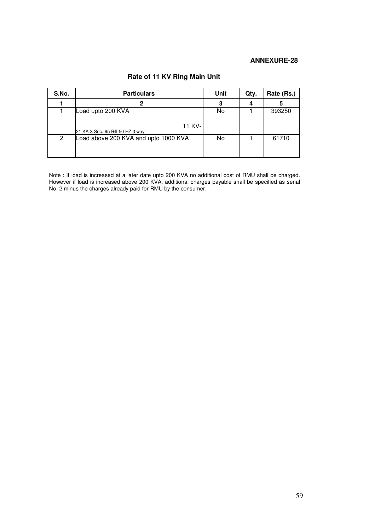| S.No. | <b>Particulars</b>                                              | Unit | Qty. | Rate (Rs.) |
|-------|-----------------------------------------------------------------|------|------|------------|
|       |                                                                 |      |      |            |
|       | Load upto 200 KVA<br>11 KV-<br>21 KA-3 Sec.-95 Bill-50 HZ 3 way | No   |      | 393250     |
| 2     | Load above 200 KVA and upto 1000 KVA                            | No   |      | 61710      |

## **Rate of 11 KV Ring Main Unit**

Note : If load is increased at a later date upto 200 KVA no additional cost of RMU shall be charged. However if load is increased above 200 KVA, additional charges payable shall be specified as serial No. 2 minus the charges already paid for RMU by the consumer.